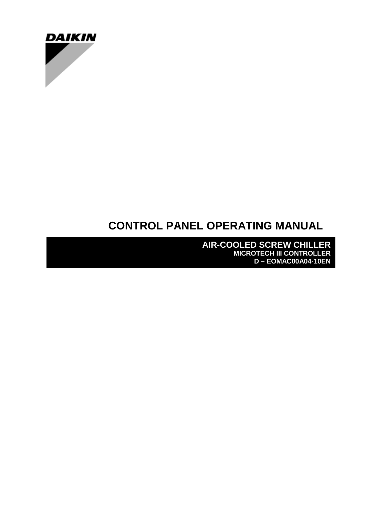

# **CONTROL PANEL OPERATING MANUAL**

**AIR-COOLED SCREW CHILLER MICROTECH III CONTROLLER D – EOMAC00A04-10EN**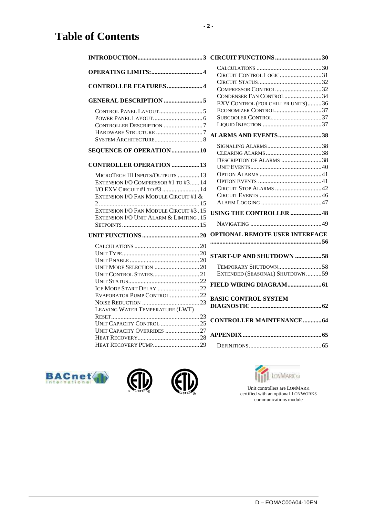# **Table of Contents**

|                                                                                    | CIRCUIT CONTROL LOGIC31               |  |
|------------------------------------------------------------------------------------|---------------------------------------|--|
|                                                                                    |                                       |  |
| <b>CONTROLLER FEATURES4</b>                                                        | COMPRESSOR CONTROL 32                 |  |
|                                                                                    | CONDENSER FAN CONTROL34               |  |
| <b>GENERAL DESCRIPTION 5</b>                                                       | EXV CONTROL (FOR CHILLER UNITS)36     |  |
|                                                                                    |                                       |  |
|                                                                                    |                                       |  |
| CONTROLLER DESCRIPTION 7                                                           |                                       |  |
| HARDWARE STRUCTURE 7                                                               | <b>ALARMS AND EVENTS38</b>            |  |
|                                                                                    |                                       |  |
| SEQUENCE OF OPERATION  10                                                          |                                       |  |
|                                                                                    | DESCRIPTION OF ALARMS 38              |  |
| <b>CONTROLLER OPERATION  13</b>                                                    |                                       |  |
| MICROTECH III INPUTS/OUTPUTS  13                                                   |                                       |  |
| EXTENSION I/O COMPRESSOR #1 TO #3 14                                               |                                       |  |
| I/O EXV CIRCUIT #1 TO #3  14                                                       | CIRCUIT STOP ALARMS 42                |  |
| EXTENSION I/O FAN MODULE CIRCUIT #1 &                                              |                                       |  |
|                                                                                    |                                       |  |
| EXTENSION I/O FAN MODULE CIRCUIT #3.15<br>EXTENSION I/O UNIT ALARM & LIMITING . 15 | USING THE CONTROLLER 48               |  |
|                                                                                    |                                       |  |
|                                                                                    | <b>OPTIONAL REMOTE USER INTERFACE</b> |  |
|                                                                                    |                                       |  |
|                                                                                    | START-UP AND SHUTDOWN 58              |  |
|                                                                                    |                                       |  |
|                                                                                    |                                       |  |
|                                                                                    | EXTENDED (SEASONAL) SHUTDOWN59        |  |
|                                                                                    |                                       |  |
| ICE MODE START DELAY 22                                                            |                                       |  |
| EVAPORATOR PUMP CONTROL22                                                          | <b>BASIC CONTROL SYSTEM</b>           |  |
|                                                                                    |                                       |  |
| LEAVING WATER TEMPERATURE (LWT)                                                    |                                       |  |
|                                                                                    | <b>CONTROLLER MAINTENANCE 64</b>      |  |
| UNIT CAPACITY CONTROL 25<br>UNIT CAPACITY OVERRIDES 27                             |                                       |  |
|                                                                                    |                                       |  |
|                                                                                    |                                       |  |
|                                                                                    |                                       |  |

| CIRCUIT CONTROL LOGIC31<br>COMPRESSOR CONTROL 32<br>CONDENSER FAN CONTROL34<br>EXV CONTROL (FOR CHILLER UNITS)36<br>ECONOMIZER CONTROL37 |  |
|------------------------------------------------------------------------------------------------------------------------------------------|--|
| <b>ALARMS AND EVENTS38</b>                                                                                                               |  |
|                                                                                                                                          |  |
|                                                                                                                                          |  |
| DESCRIPTION OF ALARMS 38                                                                                                                 |  |
|                                                                                                                                          |  |
|                                                                                                                                          |  |
| CIRCUIT STOP ALARMS 42                                                                                                                   |  |
|                                                                                                                                          |  |
|                                                                                                                                          |  |
| USING THE CONTROLLER 48                                                                                                                  |  |
|                                                                                                                                          |  |
| <b>OPTIONAL REMOTE USER INTERFACE</b>                                                                                                    |  |
|                                                                                                                                          |  |
|                                                                                                                                          |  |
| <b>START-UP AND SHUTDOWN 58</b>                                                                                                          |  |
| TEMPORARY SHUTDOWN58                                                                                                                     |  |
| EXTENDED (SEASONAL) SHUTDOWN59                                                                                                           |  |
|                                                                                                                                          |  |
| <b>BASIC CONTROL SYSTEM</b>                                                                                                              |  |
| <b>CONTROLLER MAINTENANCE 64</b>                                                                                                         |  |
|                                                                                                                                          |  |
|                                                                                                                                          |  |









Unit controllers are LONMARK certified with an optional LONWORKS communications module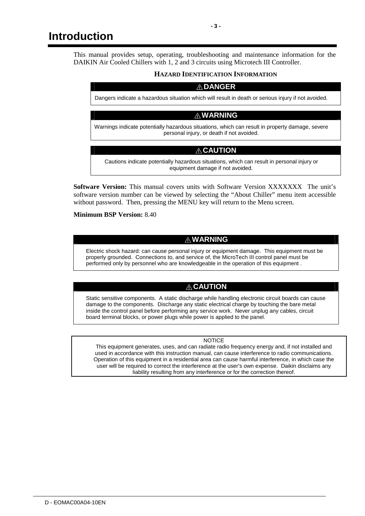This manual provides setup, operating, troubleshooting and maintenance information for the DAIKIN Air Cooled Chillers with 1, 2 and 3 circuits using Microtech III Controller.

#### **HAZARD IDENTIFICATION INFORMATION**

#### **! DANGER**

Dangers indicate a hazardous situation which will result in death or serious injury if not avoided.

## **! WARNING**

Warnings indicate potentially hazardous situations, which can result in property damage, severe personal injury, or death if not avoided.

## **! CAUTION**

Cautions indicate potentially hazardous situations, which can result in personal injury or equipment damage if not avoided.

**Software Version:** This manual covers units with Software Version XXXXXXX The unit's software version number can be viewed by selecting the "About Chiller" menu item accessible without password. Then, pressing the MENU key will return to the Menu screen.

**Minimum BSP Version:** 8.40

## **! WARNING**

Electric shock hazard: can cause personal injury or equipment damage. This equipment must be properly grounded. Connections to, and service of, the MicroTech III control panel must be performed only by personnel who are knowledgeable in the operation of this equipment .

## **! CAUTION**

Static sensitive components. A static discharge while handling electronic circuit boards can cause damage to the components. Discharge any static electrical charge by touching the bare metal inside the control panel before performing any service work. Never unplug any cables, circuit board terminal blocks, or power plugs while power is applied to the panel.

#### **NOTICE**

This equipment generates, uses, and can radiate radio frequency energy and, if not installed and used in accordance with this instruction manual, can cause interference to radio communications. Operation of this equipment in a residential area can cause harmful interference, in which case the user will be required to correct the interference at the user's own expense. Daikin disclaims any liability resulting from any interference or for the correction thereof.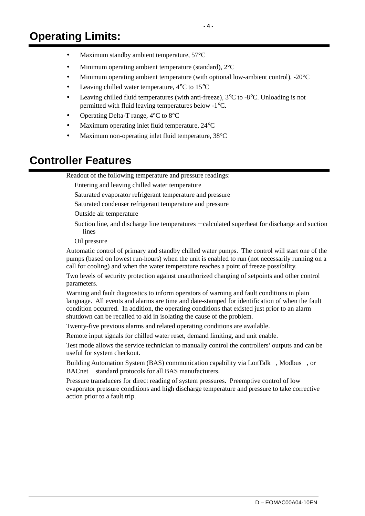- Minimum operating ambient temperature (standard),  $2^{\circ}C$
- Minimum operating ambient temperature (with optional low-ambient control),  $-20^{\circ}$ C
- Leaving chilled water temperature,  $4^{\circ}$ C to  $15^{\circ}$ C
- Leaving chilled fluid temperatures (with anti-freeze),  $3^{\circ}$ C to  $-8^{\circ}$ C. Unloading is not permitted with fluid leaving temperatures below -1°C.
- Operating Delta-T range, 4°C to 8°C
- Maximum operating inlet fluid temperature,  $24^{\circ}$ C
- Maximum non-operating inlet fluid temperature, 38°C

## **Controller Features**

Readout of the following temperature and pressure readings:

Entering and leaving chilled water temperature

Saturated evaporator refrigerant temperature and pressure

Saturated condenser refrigerant temperature and pressure

Outside air temperature

Suction line, and discharge line temperatures − calculated superheat for discharge and suction lines

Oil pressure

Automatic control of primary and standby chilled water pumps. The control will start one of the pumps (based on lowest run-hours) when the unit is enabled to run (not necessarily running on a call for cooling) and when the water temperature reaches a point of freeze possibility.

Two levels of security protection against unauthorized changing of setpoints and other control parameters.

Warning and fault diagnostics to inform operators of warning and fault conditions in plain language. All events and alarms are time and date-stamped for identification of when the fault condition occurred. In addition, the operating conditions that existed just prior to an alarm shutdown can be recalled to aid in isolating the cause of the problem.

Twenty-five previous alarms and related operating conditions are available.

Remote input signals for chilled water reset, demand limiting, and unit enable.

Test mode allows the service technician to manually control the controllers' outputs and can be useful for system checkout.

Building Automation System (BAS) communication capability via LonTalk®, Modbus®, or BACnet<sup>®</sup> standard protocols for all BAS manufacturers.

Pressure transducers for direct reading of system pressures. Preemptive control of low evaporator pressure conditions and high discharge temperature and pressure to take corrective action prior to a fault trip.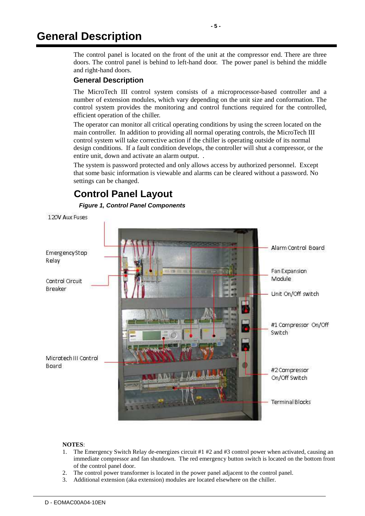## **General Description**

The control panel is located on the front of the unit at the compressor end. There are three doors. The control panel is behind to left-hand door. The power panel is behind the middle and right-hand doors.

## **General Description**

The MicroTech III control system consists of a microprocessor-based controller and a number of extension modules, which vary depending on the unit size and conformation. The control system provides the monitoring and control functions required for the controlled, efficient operation of the chiller.

The operator can monitor all critical operating conditions by using the screen located on the main controller. In addition to providing all normal operating controls, the MicroTech III control system will take corrective action if the chiller is operating outside of its normal design conditions. If a fault condition develops, the controller will shut a compressor, or the entire unit, down and activate an alarm output. .

The system is password protected and only allows access by authorized personnel. Except that some basic information is viewable and alarms can be cleared without a password. No settings can be changed.

## **Control Panel Layout**

**Figure 1, Control Panel Components** 

120V Aux Fuses



#### **NOTES**:

- 1. The Emergency Switch Relay de-energizes circuit #1 #2 and #3 control power when activated, causing an immediate compressor and fan shutdown. The red emergency button switch is located on the bottom front of the control panel door.
- 2. The control power transformer is located in the power panel adjacent to the control panel.
- 3. Additional extension (aka extension) modules are located elsewhere on the chiller.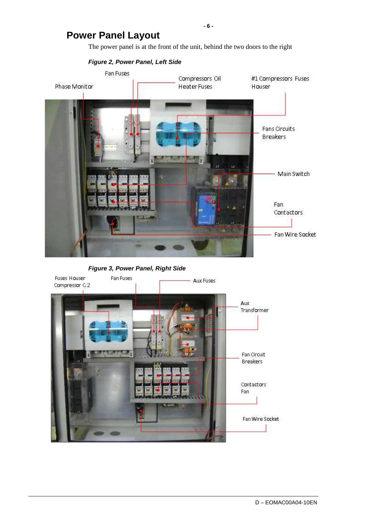## **Power Panel Layout**

The power panel is at the front of the unit, behind the two doors to the right



**Figure 3, Power Panel, Right Side** 



**- 6 -**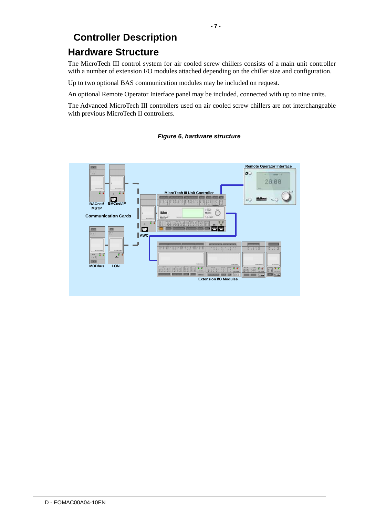# **Controller Description**

## **Hardware Structure**

The MicroTech III control system for air cooled screw chillers consists of a main unit controller with a number of extension I/O modules attached depending on the chiller size and configuration.

Up to two optional BAS communication modules may be included on request.

An optional Remote Operator Interface panel may be included, connected with up to nine units.

The Advanced MicroTech III controllers used on air cooled screw chillers are not interchangeable with previous MicroTech II controllers.



## **Figure 6, hardware structure**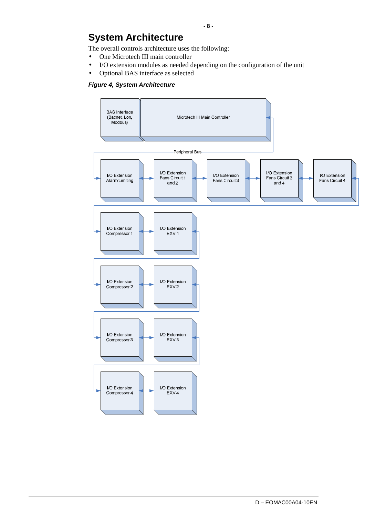# **System Architecture**

The overall controls architecture uses the following:

- One Microtech III main controller
- I/O extension modules as needed depending on the configuration of the unit
- Optional BAS interface as selected

#### **Figure 4, System Architecture**

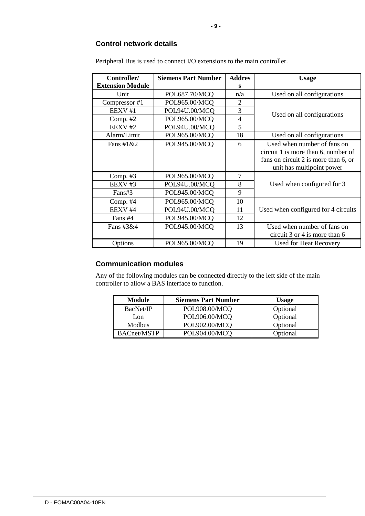#### **Control network details**

| Controller/             | <b>Siemens Part Number</b> | <b>Addres</b>  | <b>Usage</b>                         |  |
|-------------------------|----------------------------|----------------|--------------------------------------|--|
| <b>Extension Module</b> |                            | s              |                                      |  |
| Unit                    | POL687.70/MCQ              | n/a            | Used on all configurations           |  |
| Compressor #1           | POL965.00/MCQ              | 2              |                                      |  |
| EEXV#1                  | POL94U.00/MCQ              | 3              |                                      |  |
| Comp. #2                | POL965.00/MCQ              | $\overline{4}$ | Used on all configurations           |  |
| EEXV #2                 | POL94U.00/MCQ              | 5              |                                      |  |
| Alarm/Limit             | POL965.00/MCQ              | 18             | Used on all configurations           |  |
| Fans #1 $&2$            | POL945.00/MCQ              | 6              | Used when number of fans on          |  |
|                         |                            |                | circuit 1 is more than 6, number of  |  |
|                         |                            |                | fans on circuit 2 is more than 6, or |  |
|                         |                            |                | unit has multipoint power            |  |
| Comp. $#3$              | POL965.00/MCQ              | 7              |                                      |  |
| EEXV#3                  | POL94U.00/MCQ              | 8              | Used when configured for 3           |  |
| Fans#3                  | POL945.00/MCQ              | 9              |                                      |  |
| Comp. $#4$              | POL965.00/MCQ              | 10             |                                      |  |
| EEXV #4                 | POL94U.00/MCQ              | 11             | Used when configured for 4 circuits  |  |
| Fans #4                 | POL945.00/MCQ              | 12             |                                      |  |
| Fans $\#3\&4$           | POL945.00/MCQ              | 13             | Used when number of fans on          |  |
|                         |                            |                | circuit 3 or 4 is more than 6        |  |
| Options                 | POL965.00/MCQ              | 19             | Used for Heat Recovery               |  |

Peripheral Bus is used to connect I/O extensions to the main controller.

## **Communication modules**

Any of the following modules can be connected directly to the left side of the main controller to allow a BAS interface to function.

| Module             | <b>Siemens Part Number</b> | <b>Usage</b> |
|--------------------|----------------------------|--------------|
| BacNet/IP          | POL908.00/MCO              | Optional     |
| Lon                | POL906.00/MCQ              | Optional     |
| Modbus             | POL902.00/MCQ              | Optional     |
| <b>BACnet/MSTP</b> | POL904.00/MCQ              | Optional     |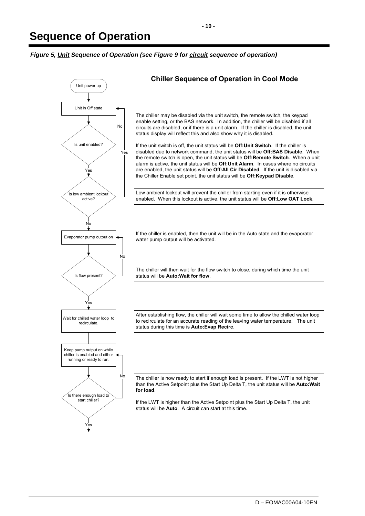**Figure 5, Unit Sequence of Operation (see Figure 9 for circuit sequence of operation)** 

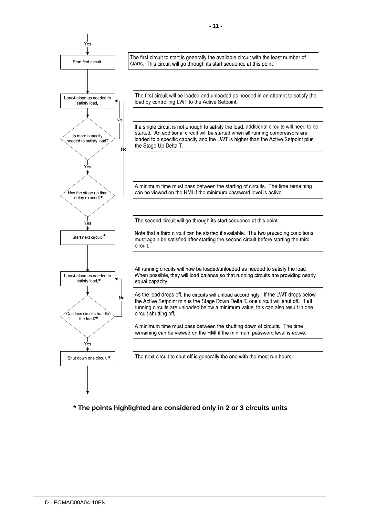

**\* The points highlighted are considered only in 2 or 3 circuits units**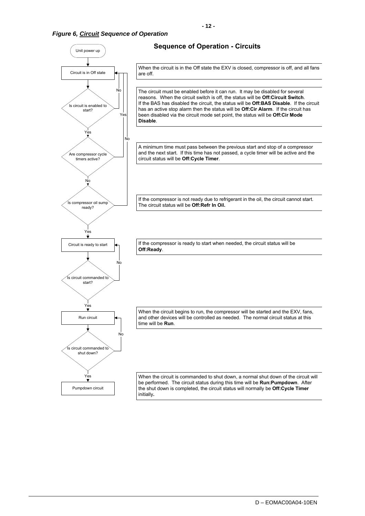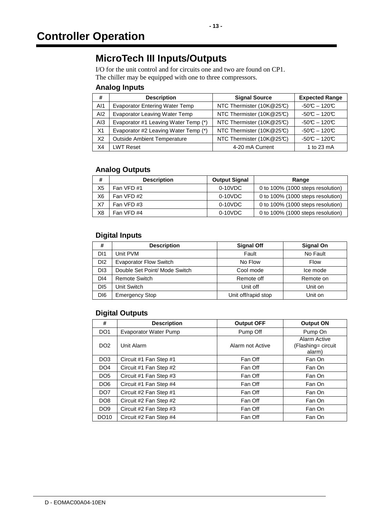## **MicroTech III Inputs/Outputs**

I/O for the unit control and for circuits one and two are found on CP1. The chiller may be equipped with one to three compressors.

## **Analog Inputs**

| #              | <b>Description</b>                    | <b>Signal Source</b>      | <b>Expected Range</b> |
|----------------|---------------------------------------|---------------------------|-----------------------|
| AI1            | <b>Evaporator Entering Water Temp</b> | NTC Thermister (10K@25°C) | $-50C - 120C$         |
| AI2            | <b>Evaporator Leaving Water Temp</b>  | NTC Thermister (10K@25°C) | $-50C - 120C$         |
| AI3            | Evaporator #1 Leaving Water Temp (*)  | NTC Thermister (10K@25°C) | $-50C - 120C$         |
| X <sub>1</sub> | Evaporator #2 Leaving Water Temp (*)  | NTC Thermister (10K@25°C) | $-50C - 120C$         |
| X <sub>2</sub> | <b>Outside Ambient Temperature</b>    | NTC Thermister (10K@25°C) | $-50C - 120C$         |
| X4             | <b>LWT Reset</b>                      | 4-20 mA Current           | 1 to 23 mA            |

## **Analog Outputs**

| #              | <b>Description</b> | <b>Output Signal</b> | Range                             |
|----------------|--------------------|----------------------|-----------------------------------|
| X <sub>5</sub> | Fan VFD #1         | $0-10VDC$            | 0 to 100% (1000 steps resolution) |
| X <sub>6</sub> | Fan VFD#2          | $0-10VDC$            | 0 to 100% (1000 steps resolution) |
| X7             | Fan VFD#3          | $0-10VDC$            | 0 to 100% (1000 steps resolution) |
| X <sub>8</sub> | Fan VFD #4         | $0-10VDC$            | 0 to 100% (1000 steps resolution) |

## **Digital Inputs**

| #               | <b>Description</b>            | <b>Signal Off</b>   | <b>Signal On</b> |
|-----------------|-------------------------------|---------------------|------------------|
| DI1             | Unit PVM                      | Fault               | No Fault         |
| D <sub>12</sub> | <b>Evaporator Flow Switch</b> | No Flow             | Flow             |
| D <sub>13</sub> | Double Set Point/ Mode Switch | Cool mode           | Ice mode         |
| DI <sub>4</sub> | <b>Remote Switch</b>          | Remote off          | Remote on        |
| D <sub>15</sub> | Unit Switch                   | Unit off            | Unit on          |
| D <sub>16</sub> | <b>Emergency Stop</b>         | Unit off/rapid stop | Unit on          |

## **Digital Outputs**

| #               | <b>Description</b>           | <b>Output OFF</b> | <b>Output ON</b>                             |
|-----------------|------------------------------|-------------------|----------------------------------------------|
| DO <sub>1</sub> | <b>Evaporator Water Pump</b> | Pump Off          | Pump On                                      |
| DO <sub>2</sub> | Unit Alarm                   | Alarm not Active  | Alarm Active<br>(Flashing= circuit<br>alarm) |
| DO <sub>3</sub> | Circuit #1 Fan Step #1       | Fan Off           | Fan On                                       |
| DO <sub>4</sub> | Circuit #1 Fan Step #2       | Fan Off           | Fan On                                       |
| DO <sub>5</sub> | Circuit #1 Fan Step #3       | Fan Off           | Fan On                                       |
| DO <sub>6</sub> | Circuit #1 Fan Step #4       | Fan Off           | Fan On                                       |
| DO <sub>7</sub> | Circuit #2 Fan Step #1       | Fan Off           | Fan On                                       |
| DO <sub>8</sub> | Circuit #2 Fan Step #2       | Fan Off           | Fan On                                       |
| DO <sub>9</sub> | Circuit #2 Fan Step #3       | Fan Off           | Fan On                                       |
| DO10            | Circuit #2 Fan Step #4       | Fan Off           | Fan On                                       |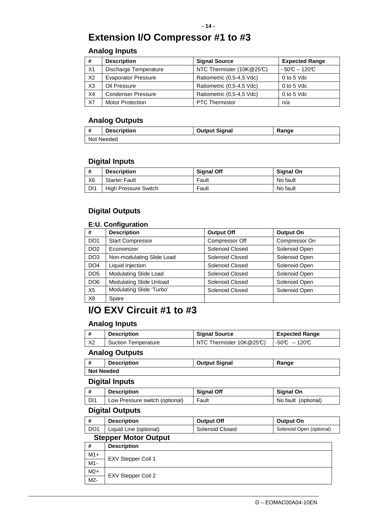## **Extension I/O Compressor #1 to #3**

## **Analog Inputs**

| #              | <b>Description</b>         | <b>Signal Source</b>      | <b>Expected Range</b> |
|----------------|----------------------------|---------------------------|-----------------------|
| X1             | Discharge Temperature      | NTC Thermister (10K@25°C) | $-50C - 120C$         |
| X2             | <b>Evaporator Pressure</b> | Ratiometric (0,5-4,5 Vdc) | 0 to 5 Vdc            |
| X <sub>3</sub> | Oil Pressure               | Ratiometric (0,5-4,5 Vdc) | 0 to 5 Vdc            |
| X4             | <b>Condenser Pressure</b>  | Ratiometric (0,5-4,5 Vdc) | 0 to 5 Vdc            |
| X7             | <b>Motor Protection</b>    | <b>PTC Thermistor</b>     | n/a                   |

## **Analog Outputs**

| 1 <b>#</b><br>. . | <b>Description</b> | <b>Output Signal</b> | Range |
|-------------------|--------------------|----------------------|-------|
| Not Needed        |                    |                      |       |

## **Digital Inputs**

| #   | <b>Description</b>   | <b>Signal Off</b> | <b>Signal On</b> |
|-----|----------------------|-------------------|------------------|
| Х6  | <b>Starter Fault</b> | Fault             | No fault         |
| DI1 | High Pressure Switch | Fault             | No fault         |

## **Digital Outputs**

## **E:U. Configuration**

| #               | <b>Description</b>             | <b>Output Off</b> | <b>Output On</b> |
|-----------------|--------------------------------|-------------------|------------------|
| DO <sub>1</sub> | <b>Start Compressor</b>        | Compressor Off    | Compressor On    |
| DO <sub>2</sub> | Economizer                     | Solenoid Closed   | Solenoid Open    |
| DO <sub>3</sub> | Non-modulating Slide Load      | Solenoid Closed   | Solenoid Open    |
| DO <sub>4</sub> | Liquid Injection               | Solenoid Closed   | Solenoid Open    |
| DO <sub>5</sub> | Modulating Slide Load          | Solenoid Closed   | Solenoid Open    |
| DO <sub>6</sub> | <b>Modulating Slide Unload</b> | Solenoid Closed   | Solenoid Open    |
| X <sub>5</sub>  | Modulating Slide 'Turbo'       | Solenoid Closed   | Solenoid Open    |
| X <sub>8</sub>  | Spare                          |                   |                  |

## **I/O EXV Circuit #1 to #3**

## **Analog Inputs**

|    | <b>Description</b>         | <b>Signal Source</b>       | <b>Expected Range</b> |
|----|----------------------------|----------------------------|-----------------------|
| X2 | <b>Suction Temperature</b> | NTC Thermister $10K@25C$ ) | $-50C - 120C$         |
|    |                            |                            |                       |

## **Analog Outputs**

|            | <b>Description</b> | <b>Output Signal</b> | Range |
|------------|--------------------|----------------------|-------|
| Not Needed |                    |                      |       |

## **Digital Inputs**

|     | <b>Description</b>             | <b>Signal Off</b> | <b>Signal On</b>    |
|-----|--------------------------------|-------------------|---------------------|
| DI1 | Low Pressure switch (optional) | Fault             | No fault (optional) |

## **Digital Outputs**

| <b>Description</b>           | <b>Output Off</b> | <b>Output On</b>         |
|------------------------------|-------------------|--------------------------|
| DO1   Liquid Line (optional) | Solenoid Closed   | Solenoid Open (optional) |

## **Stepper Motor Output**

| #     | <b>Description</b> |
|-------|--------------------|
| $M1+$ | EXV Stepper Coil 1 |
| M1-   |                    |
| $M2+$ |                    |
| $M2-$ | EXV Stepper Coil 2 |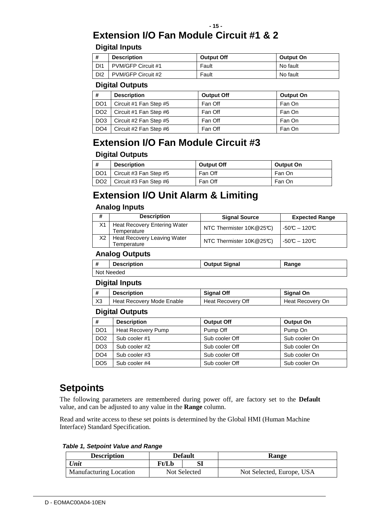# **Extension I/O Fan Module Circuit #1 & 2**

## **Digital Inputs**

| #               | <b>Description</b> | <b>Output Off</b> | <b>Output On</b> |
|-----------------|--------------------|-------------------|------------------|
| . DI1           | PVM/GFP Circuit #1 | Fault             | No fault         |
| DI <sub>2</sub> | PVM/GFP Circuit #2 | Fault             | No fault         |

## **Digital Outputs**

| #               | <b>Description</b>     | <b>Output Off</b> | <b>Output On</b> |
|-----------------|------------------------|-------------------|------------------|
| DO <sub>1</sub> | Circuit #1 Fan Step #5 | Fan Off           | Fan On           |
| DO <sub>2</sub> | Circuit #1 Fan Step #6 | Fan Off           | Fan On           |
| DO <sub>3</sub> | Circuit #2 Fan Step #5 | Fan Off           | Fan On           |
| DO <sub>4</sub> | Circuit #2 Fan Step #6 | Fan Off           | Fan On           |

## **Extension I/O Fan Module Circuit #3**

## **Digital Outputs**

| #               | <b>Description</b>            | <b>Output Off</b> | Output On |
|-----------------|-------------------------------|-------------------|-----------|
| DO <sub>1</sub> | Circuit #3 Fan Step #5        | Fan Off           | Fan On    |
| DO <sub>2</sub> | $\mid$ Circuit #3 Fan Step #6 | Fan Off           | Fan On    |

## **Extension I/O Unit Alarm & Limiting**

## **Analog Inputs**

|    | <b>Description</b>                                 | <b>Signal Source</b>     | <b>Expected Range</b> |
|----|----------------------------------------------------|--------------------------|-----------------------|
| X1 | <b>Heat Recovery Entering Water</b><br>Temperature | NTC Thermister 10K@25°C) | $-50C - 120C$         |
| Х2 | Heat Recovery Leaving Water<br>Temperature         | NTC Thermister 10K@25°C) | $-50C - 120C$         |

## **Analog Outputs**

| -#         | <b>Description</b> | <b>Output Signal</b> | Range |
|------------|--------------------|----------------------|-------|
| Not Needed |                    |                      |       |

## **Digital Inputs**

|                | <b>Description</b>        | <b>Signal Off</b> | <b>Signal On</b> |
|----------------|---------------------------|-------------------|------------------|
| X <sub>3</sub> | Heat Recovery Mode Enable | Heat Recovery Off | Heat Recovery On |

## **Digital Outputs**

| #               | <b>Description</b> | <b>Output Off</b> | <b>Output On</b> |
|-----------------|--------------------|-------------------|------------------|
| DO <sub>1</sub> | Heat Recovery Pump | Pump Off          | Pump On          |
| DO <sub>2</sub> | Sub cooler #1      | Sub cooler Off    | Sub cooler On    |
| DO <sub>3</sub> | Sub cooler #2      | Sub cooler Off    | Sub cooler On    |
| DO <sub>4</sub> | Sub cooler #3      | Sub cooler Off    | Sub cooler On    |
| DO <sub>5</sub> | Sub cooler #4      | Sub cooler Off    | Sub cooler On    |

## **Setpoints**

The following parameters are remembered during power off, are factory set to the **Default** value, and can be adjusted to any value in the **Range** column.

Read and write access to these set points is determined by the Global HMI (Human Machine Interface) Standard Specification.

**Table 1, Setpoint Value and Range** 

| <b>Description</b>            | <b>Default</b> |  | <b>Range</b>              |
|-------------------------------|----------------|--|---------------------------|
| Unit                          | Ft/Lb          |  |                           |
| <b>Manufacturing Location</b> | Not Selected   |  | Not Selected, Europe, USA |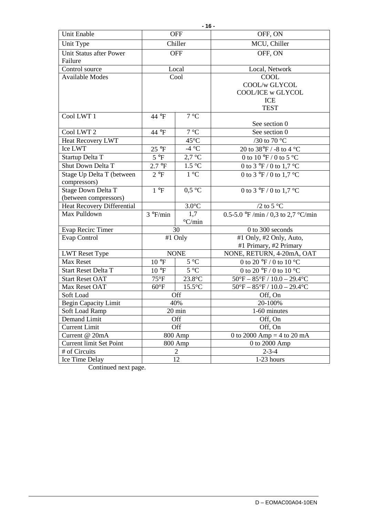| $-16-$                             |                                                      |                   |                                                             |  |  |  |
|------------------------------------|------------------------------------------------------|-------------------|-------------------------------------------------------------|--|--|--|
| Unit Enable                        |                                                      | <b>OFF</b>        | OFF, ON                                                     |  |  |  |
| Unit Type                          | Chiller                                              |                   | MCU, Chiller                                                |  |  |  |
| Unit Status after Power<br>Failure |                                                      | <b>OFF</b>        | OFF, ON                                                     |  |  |  |
| Control source                     |                                                      | Local             | Local, Network                                              |  |  |  |
| <b>Available Modes</b>             |                                                      | Cool              | COOL                                                        |  |  |  |
|                                    |                                                      |                   | COOL/w GLYCOL                                               |  |  |  |
|                                    |                                                      |                   | COOL/ICE w GLYCOL                                           |  |  |  |
|                                    |                                                      |                   | <b>ICE</b>                                                  |  |  |  |
|                                    |                                                      |                   | <b>TEST</b>                                                 |  |  |  |
| Cool LWT 1                         | 44 °F                                                | 7 °C              |                                                             |  |  |  |
|                                    |                                                      |                   | See section 0                                               |  |  |  |
| Cool LWT <sub>2</sub>              | 44 °F                                                | 7 °C              | See section 0                                               |  |  |  |
| <b>Heat Recovery LWT</b>           |                                                      | $45^{\circ}$ C    | /30 to 70 $^{\circ}$ C                                      |  |  |  |
| Ice LWT                            | 25 °F                                                | -4 °C             | 20 to 38°F / -8 to 4 °C                                     |  |  |  |
| Startup Delta T                    | $5^{\circ}F$                                         | $2,7$ °C          | 0 to 10 °F / 0 to 5 °C                                      |  |  |  |
| Shut Down Delta T                  | 2.7 °F                                               | 1.5 °C            | 0 to 3 $\degree$ F / 0 to 1,7 $\degree$ C                   |  |  |  |
| Stage Up Delta T (between          | 1 °C<br>2 °F                                         |                   | 0 to $3 \text{°F}$ / 0 to 1,7 °C                            |  |  |  |
| compressors)                       |                                                      |                   |                                                             |  |  |  |
| Stage Down Delta T                 | 1 °F                                                 | 0.5 °C            | 0 to $3 \text{°F}$ / 0 to 1,7 °C                            |  |  |  |
| (between compressors)              |                                                      |                   |                                                             |  |  |  |
| <b>Heat Recovery Differential</b>  | $3.0^{\circ}$ C                                      |                   | /2 to 5 $^{\circ}$ C                                        |  |  |  |
| Max Pulldown                       | 1,7<br>$3 \degree$ F/min<br>$\mathrm{^{\circ}C/min}$ |                   | 0.5-5.0 °F /min / 0,3 to 2,7 °C/min                         |  |  |  |
| <b>Evap Recirc Timer</b>           |                                                      | 30                | 0 to 300 seconds                                            |  |  |  |
| Evap Control                       |                                                      | #1 Only           | #1 Only, #2 Only, Auto,                                     |  |  |  |
|                                    |                                                      |                   | #1 Primary, #2 Primary                                      |  |  |  |
| <b>LWT Reset Type</b>              |                                                      | <b>NONE</b>       | NONE, RETURN, 4-20mA, OAT                                   |  |  |  |
| Max Reset                          | $10^{\circ}F$                                        | $5~\mathrm{^o C}$ | 0 to 20 $\mathrm{^{\circ}F}$ / 0 to 10 $\mathrm{^{\circ}C}$ |  |  |  |
| Start Reset Delta T                | $10^{\circ}F$                                        | $5^{\circ}C$      | 0 to 20 °F / 0 to 10 °C                                     |  |  |  |
| <b>Start Reset OAT</b>             | $75^{\circ}F$                                        | 23.8°C            | $50^{\circ}F - 85^{\circ}F / 10.0 - 29.4^{\circ}C$          |  |  |  |
| Max Reset OAT                      | $60^{\circ}F$                                        | $15.5^{\circ}$ C  | $50^{\circ}F - 85^{\circ}F / 10.0 - 29.4^{\circ}C$          |  |  |  |
| Soft Load                          |                                                      | Off               | Off, On                                                     |  |  |  |
| Begin Capacity Limit               |                                                      | 40%               | 20-100%                                                     |  |  |  |
| Soft Load Ramp                     |                                                      | 20 min            | 1-60 minutes                                                |  |  |  |
| Demand Limit                       |                                                      | Off               | Off, On                                                     |  |  |  |
| <b>Current Limit</b>               |                                                      | Off               | Off, On                                                     |  |  |  |
| Current @ 20mA                     |                                                      | 800 Amp           | 0 to 2000 Amp = 4 to 20 mA                                  |  |  |  |
| Current limit Set Point            |                                                      | 800 Amp           | 0 to 2000 Amp                                               |  |  |  |
| # of Circuits                      |                                                      | $\overline{2}$    | $2 - 3 - 4$                                                 |  |  |  |
| Ice Time Delay                     | 12                                                   |                   | 1-23 hours                                                  |  |  |  |

Continued next page.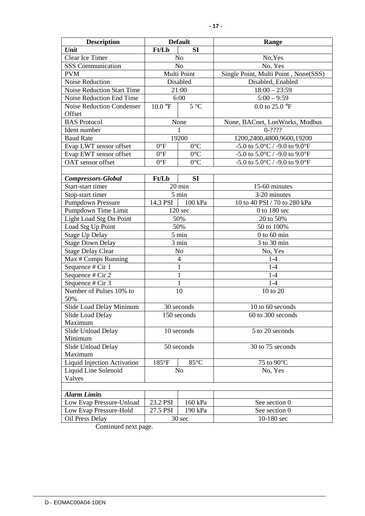| <b>Description</b>                                                                                                                                                                                                                                                                                                                                                                                                                                                                                                                                                                                                                                                         | <b>Default</b>                                                  |                                                                                                                                                                                         | Range                                                                                                                                                                                                                                                                                                                                                                                                   |  |
|----------------------------------------------------------------------------------------------------------------------------------------------------------------------------------------------------------------------------------------------------------------------------------------------------------------------------------------------------------------------------------------------------------------------------------------------------------------------------------------------------------------------------------------------------------------------------------------------------------------------------------------------------------------------------|-----------------------------------------------------------------|-----------------------------------------------------------------------------------------------------------------------------------------------------------------------------------------|---------------------------------------------------------------------------------------------------------------------------------------------------------------------------------------------------------------------------------------------------------------------------------------------------------------------------------------------------------------------------------------------------------|--|
| Unit                                                                                                                                                                                                                                                                                                                                                                                                                                                                                                                                                                                                                                                                       | Ft/Lb                                                           | <b>SI</b>                                                                                                                                                                               |                                                                                                                                                                                                                                                                                                                                                                                                         |  |
| Clear Ice Timer                                                                                                                                                                                                                                                                                                                                                                                                                                                                                                                                                                                                                                                            | No                                                              |                                                                                                                                                                                         | No, Yes                                                                                                                                                                                                                                                                                                                                                                                                 |  |
| <b>SSS</b> Communication                                                                                                                                                                                                                                                                                                                                                                                                                                                                                                                                                                                                                                                   | No                                                              |                                                                                                                                                                                         | No, Yes                                                                                                                                                                                                                                                                                                                                                                                                 |  |
| <b>PVM</b>                                                                                                                                                                                                                                                                                                                                                                                                                                                                                                                                                                                                                                                                 |                                                                 | Multi Point                                                                                                                                                                             | Single Point, Multi Point, None(SSS)                                                                                                                                                                                                                                                                                                                                                                    |  |
| Noise Reduction                                                                                                                                                                                                                                                                                                                                                                                                                                                                                                                                                                                                                                                            |                                                                 | Disabled                                                                                                                                                                                | Disabled, Enabled                                                                                                                                                                                                                                                                                                                                                                                       |  |
| Noise Reduction Start Time                                                                                                                                                                                                                                                                                                                                                                                                                                                                                                                                                                                                                                                 |                                                                 | 21:00                                                                                                                                                                                   | $18:00 - 23:59$                                                                                                                                                                                                                                                                                                                                                                                         |  |
| Noise Reduction End Time                                                                                                                                                                                                                                                                                                                                                                                                                                                                                                                                                                                                                                                   |                                                                 | 6:00                                                                                                                                                                                    | $5:00 - 9:59$                                                                                                                                                                                                                                                                                                                                                                                           |  |
| Noise Reduction Condenser                                                                                                                                                                                                                                                                                                                                                                                                                                                                                                                                                                                                                                                  | $10.0\text{ }^{\circ}F$                                         | $5^{\circ}C$                                                                                                                                                                            | 0.0 to 25.0 $^{\circ}$ F                                                                                                                                                                                                                                                                                                                                                                                |  |
| Offset                                                                                                                                                                                                                                                                                                                                                                                                                                                                                                                                                                                                                                                                     |                                                                 |                                                                                                                                                                                         |                                                                                                                                                                                                                                                                                                                                                                                                         |  |
| <b>BAS</b> Protocol                                                                                                                                                                                                                                                                                                                                                                                                                                                                                                                                                                                                                                                        |                                                                 | None                                                                                                                                                                                    | None, BACnet, LonWorks, Modbus                                                                                                                                                                                                                                                                                                                                                                          |  |
| Ident number                                                                                                                                                                                                                                                                                                                                                                                                                                                                                                                                                                                                                                                               |                                                                 | 1                                                                                                                                                                                       | $0-2222$                                                                                                                                                                                                                                                                                                                                                                                                |  |
| <b>Baud Rate</b>                                                                                                                                                                                                                                                                                                                                                                                                                                                                                                                                                                                                                                                           |                                                                 | 19200                                                                                                                                                                                   | 1200,2400,4800,9600,19200                                                                                                                                                                                                                                                                                                                                                                               |  |
| Evap LWT sensor offset                                                                                                                                                                                                                                                                                                                                                                                                                                                                                                                                                                                                                                                     | $0^{\circ}F$                                                    | $0^{\circ}C$                                                                                                                                                                            | -5.0 to $5.0^{\circ}$ C / -9.0 to $9.0^{\circ}$ F                                                                                                                                                                                                                                                                                                                                                       |  |
| Evap EWT sensor offset                                                                                                                                                                                                                                                                                                                                                                                                                                                                                                                                                                                                                                                     | $0^{\circ}F$                                                    | $0^{\circ}$ C                                                                                                                                                                           | -5.0 to $5.0^{\circ}$ C / -9.0 to $9.0^{\circ}$ F                                                                                                                                                                                                                                                                                                                                                       |  |
|                                                                                                                                                                                                                                                                                                                                                                                                                                                                                                                                                                                                                                                                            |                                                                 |                                                                                                                                                                                         |                                                                                                                                                                                                                                                                                                                                                                                                         |  |
|                                                                                                                                                                                                                                                                                                                                                                                                                                                                                                                                                                                                                                                                            |                                                                 |                                                                                                                                                                                         |                                                                                                                                                                                                                                                                                                                                                                                                         |  |
|                                                                                                                                                                                                                                                                                                                                                                                                                                                                                                                                                                                                                                                                            |                                                                 |                                                                                                                                                                                         |                                                                                                                                                                                                                                                                                                                                                                                                         |  |
|                                                                                                                                                                                                                                                                                                                                                                                                                                                                                                                                                                                                                                                                            |                                                                 |                                                                                                                                                                                         |                                                                                                                                                                                                                                                                                                                                                                                                         |  |
|                                                                                                                                                                                                                                                                                                                                                                                                                                                                                                                                                                                                                                                                            |                                                                 |                                                                                                                                                                                         |                                                                                                                                                                                                                                                                                                                                                                                                         |  |
|                                                                                                                                                                                                                                                                                                                                                                                                                                                                                                                                                                                                                                                                            |                                                                 |                                                                                                                                                                                         |                                                                                                                                                                                                                                                                                                                                                                                                         |  |
|                                                                                                                                                                                                                                                                                                                                                                                                                                                                                                                                                                                                                                                                            | 120 <sub>sec</sub>                                              |                                                                                                                                                                                         |                                                                                                                                                                                                                                                                                                                                                                                                         |  |
|                                                                                                                                                                                                                                                                                                                                                                                                                                                                                                                                                                                                                                                                            | 50%                                                             |                                                                                                                                                                                         |                                                                                                                                                                                                                                                                                                                                                                                                         |  |
|                                                                                                                                                                                                                                                                                                                                                                                                                                                                                                                                                                                                                                                                            | 50%                                                             |                                                                                                                                                                                         |                                                                                                                                                                                                                                                                                                                                                                                                         |  |
|                                                                                                                                                                                                                                                                                                                                                                                                                                                                                                                                                                                                                                                                            | $5 \ \mathrm{min}$                                              |                                                                                                                                                                                         |                                                                                                                                                                                                                                                                                                                                                                                                         |  |
|                                                                                                                                                                                                                                                                                                                                                                                                                                                                                                                                                                                                                                                                            | 3 min                                                           |                                                                                                                                                                                         |                                                                                                                                                                                                                                                                                                                                                                                                         |  |
|                                                                                                                                                                                                                                                                                                                                                                                                                                                                                                                                                                                                                                                                            | No                                                              |                                                                                                                                                                                         |                                                                                                                                                                                                                                                                                                                                                                                                         |  |
|                                                                                                                                                                                                                                                                                                                                                                                                                                                                                                                                                                                                                                                                            | $\overline{\mathcal{A}}$                                        |                                                                                                                                                                                         |                                                                                                                                                                                                                                                                                                                                                                                                         |  |
|                                                                                                                                                                                                                                                                                                                                                                                                                                                                                                                                                                                                                                                                            |                                                                 |                                                                                                                                                                                         |                                                                                                                                                                                                                                                                                                                                                                                                         |  |
|                                                                                                                                                                                                                                                                                                                                                                                                                                                                                                                                                                                                                                                                            |                                                                 |                                                                                                                                                                                         |                                                                                                                                                                                                                                                                                                                                                                                                         |  |
|                                                                                                                                                                                                                                                                                                                                                                                                                                                                                                                                                                                                                                                                            |                                                                 |                                                                                                                                                                                         |                                                                                                                                                                                                                                                                                                                                                                                                         |  |
|                                                                                                                                                                                                                                                                                                                                                                                                                                                                                                                                                                                                                                                                            |                                                                 |                                                                                                                                                                                         |                                                                                                                                                                                                                                                                                                                                                                                                         |  |
|                                                                                                                                                                                                                                                                                                                                                                                                                                                                                                                                                                                                                                                                            |                                                                 |                                                                                                                                                                                         |                                                                                                                                                                                                                                                                                                                                                                                                         |  |
|                                                                                                                                                                                                                                                                                                                                                                                                                                                                                                                                                                                                                                                                            |                                                                 |                                                                                                                                                                                         |                                                                                                                                                                                                                                                                                                                                                                                                         |  |
|                                                                                                                                                                                                                                                                                                                                                                                                                                                                                                                                                                                                                                                                            |                                                                 |                                                                                                                                                                                         |                                                                                                                                                                                                                                                                                                                                                                                                         |  |
|                                                                                                                                                                                                                                                                                                                                                                                                                                                                                                                                                                                                                                                                            |                                                                 |                                                                                                                                                                                         |                                                                                                                                                                                                                                                                                                                                                                                                         |  |
|                                                                                                                                                                                                                                                                                                                                                                                                                                                                                                                                                                                                                                                                            | 10 seconds                                                      |                                                                                                                                                                                         |                                                                                                                                                                                                                                                                                                                                                                                                         |  |
|                                                                                                                                                                                                                                                                                                                                                                                                                                                                                                                                                                                                                                                                            | 50 seconds                                                      |                                                                                                                                                                                         |                                                                                                                                                                                                                                                                                                                                                                                                         |  |
|                                                                                                                                                                                                                                                                                                                                                                                                                                                                                                                                                                                                                                                                            |                                                                 |                                                                                                                                                                                         |                                                                                                                                                                                                                                                                                                                                                                                                         |  |
|                                                                                                                                                                                                                                                                                                                                                                                                                                                                                                                                                                                                                                                                            |                                                                 |                                                                                                                                                                                         |                                                                                                                                                                                                                                                                                                                                                                                                         |  |
|                                                                                                                                                                                                                                                                                                                                                                                                                                                                                                                                                                                                                                                                            |                                                                 |                                                                                                                                                                                         |                                                                                                                                                                                                                                                                                                                                                                                                         |  |
|                                                                                                                                                                                                                                                                                                                                                                                                                                                                                                                                                                                                                                                                            |                                                                 |                                                                                                                                                                                         |                                                                                                                                                                                                                                                                                                                                                                                                         |  |
|                                                                                                                                                                                                                                                                                                                                                                                                                                                                                                                                                                                                                                                                            |                                                                 |                                                                                                                                                                                         |                                                                                                                                                                                                                                                                                                                                                                                                         |  |
|                                                                                                                                                                                                                                                                                                                                                                                                                                                                                                                                                                                                                                                                            |                                                                 |                                                                                                                                                                                         |                                                                                                                                                                                                                                                                                                                                                                                                         |  |
|                                                                                                                                                                                                                                                                                                                                                                                                                                                                                                                                                                                                                                                                            |                                                                 |                                                                                                                                                                                         |                                                                                                                                                                                                                                                                                                                                                                                                         |  |
|                                                                                                                                                                                                                                                                                                                                                                                                                                                                                                                                                                                                                                                                            | 27.5 PSI                                                        | 190 kPa                                                                                                                                                                                 |                                                                                                                                                                                                                                                                                                                                                                                                         |  |
| Oil Press Delay                                                                                                                                                                                                                                                                                                                                                                                                                                                                                                                                                                                                                                                            |                                                                 |                                                                                                                                                                                         | 10-180 sec                                                                                                                                                                                                                                                                                                                                                                                              |  |
| OAT sensor offset<br><b>Compressors-Global</b><br>Start-start timer<br>Stop-start timer<br><b>Pumpdown Pressure</b><br>Pumpdown Time Limit<br>Light Load Stg Dn Point<br>Load Stg Up Point<br><b>Stage Up Delay</b><br><b>Stage Down Delay</b><br><b>Stage Delay Clear</b><br>Max # Comps Running<br>Sequence # Cir 1<br>Sequence # Cir 2<br>Sequence # Cir 3<br>Number of Pulses 10% to<br>50%<br>Slide Load Delay Mininum<br>Slide Load Delay<br>Maximum<br>Slide Unload Delay<br>Minimum<br>Slide Unload Delay<br>Maximum<br>Liquid Injection Activation<br>Liquid Line Solenoid<br>Valves<br><b>Alarm Limits</b><br>Low Evap Pressure-Unload<br>Low Evap Pressure-Hold | $0^{\circ}F$<br>Ft/Lb<br>14,3 PSI<br>$185^{\circ}F$<br>23.2 PSI | $0^{\circ}C$<br><b>SI</b><br>$20 \text{ min}$<br>5 min<br>100 kPa<br>$\mathbf{1}$<br>$\mathbf{1}$<br>$\mathbf{1}$<br>10<br>30 seconds<br>150 seconds<br>85°C<br>No<br>160 kPa<br>30 sec | -5.0 to $5.0^{\circ}$ C / -9.0 to $9.0^{\circ}$ F<br>15-60 minutes<br>3-20 minutes<br>10 to 40 PSI / 70 to 280 kPa<br>$0$ to 180 sec<br>20 to 50%<br>50 to 100%<br>$0$ to $60$ min<br>3 to 30 min<br>No, Yes<br>$1-4$<br>$1-4$<br>$1-4$<br>$1-4$<br>10 to 20<br>10 to 60 seconds<br>60 to 300 seconds<br>5 to 20 seconds<br>30 to 75 seconds<br>75 to 90°C<br>No, Yes<br>See section 0<br>See section 0 |  |

Continued next page.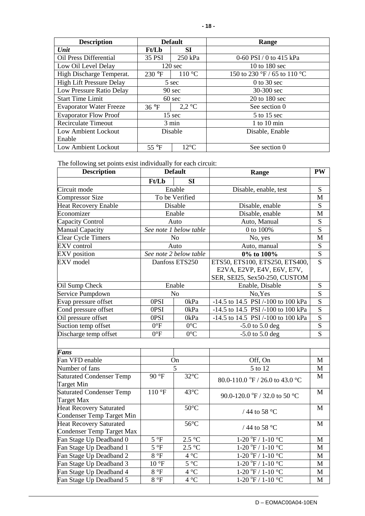| <b>Description</b>              |                                   | <b>Default</b>    | Range                                            |  |
|---------------------------------|-----------------------------------|-------------------|--------------------------------------------------|--|
| Unit                            | <b>Ft/Lb</b>                      | <b>SI</b>         |                                                  |  |
| Oil Press Differential          | 35 PSI                            | 250 kPa           | 0-60 PSI / 0 to 415 kPa                          |  |
| Low Oil Level Delay             |                                   | $120 \text{ sec}$ | 10 to 180 sec                                    |  |
| High Discharge Temperat.        | 230 °F                            | 110 °C            | 150 to 230 $\mathrm{P}$ / 65 to 110 $\mathrm{C}$ |  |
| <b>High Lift Pressure Delay</b> |                                   | 5 sec             | $0$ to 30 sec                                    |  |
| Low Pressure Ratio Delay        | $90 \text{ sec}$                  |                   | 30-300 sec                                       |  |
| <b>Start Time Limit</b>         |                                   | $60 \text{ sec}$  | 20 to 180 sec                                    |  |
| <b>Evaporator Water Freeze</b>  | $2.2 \text{ °C}$<br>$36^{\circ}F$ |                   | See section 0                                    |  |
| <b>Evaporator Flow Proof</b>    | $15 \text{ sec}$                  |                   | 5 to 15 sec                                      |  |
| <b>Recirculate Timeout</b>      | 3 min                             |                   | $1$ to $10$ min                                  |  |
| Low Ambient Lockout             | Disable                           |                   | Disable, Enable                                  |  |
| Enable                          |                                   |                   |                                                  |  |
| Low Ambient Lockout             | 55 $\mathrm{^{\circ}F}$           | $12^{\circ}$ C    | See section 0                                    |  |

The following set points exist individually for each circuit:

Fan Stage Up Deadband 0 5 °F 2.5 °C<br>
Fan Stage Up Deadband 1 5 °F 2.5 °C

Fan Stage Up Deadband 1 5 °F 2.5 °C<br>Fan Stage Up Deadband 2 8 °F 4 °C

Fan Stage Up Deadband 2  $\begin{array}{|c|c|c|c|c|} \hline \end{array}$  8 °F  $\begin{array}{|c|c|c|c|c|c|} \hline \end{array}$  4 °C

Fan Stage Up Deadband  $3$  10 °F 5 °C

Fan Stage Up Deadband 4  $\begin{array}{|c|c|c|c|c|c|c|c|c|} \hline \end{array}$  4 °C

Fan Stage Up Deadband  $5 \qquad 8 \degree F \qquad 4 \degree C$ 

| <b>Description</b>              | <b>Default</b> |                        | Range                              | <b>PW</b>               |
|---------------------------------|----------------|------------------------|------------------------------------|-------------------------|
|                                 | Ft/Lb          | <b>SI</b>              |                                    |                         |
| Circuit mode                    |                | Enable                 | Disable, enable, test              | S                       |
| <b>Compressor Size</b>          |                | To be Verified         |                                    | M                       |
| <b>Heat Recovery Enable</b>     |                | Disable                | Disable, enable                    | S                       |
| Economizer                      |                | Enable                 | Disable, enable                    | M                       |
| Capacity Control                |                | Auto                   | Auto, Manual                       | ${\bf S}$               |
| Manual Capacity                 |                | See note 1 below table | 0 to 100%                          | $\overline{s}$          |
| <b>Clear Cycle Timers</b>       |                | N <sub>o</sub>         | No, yes                            | M                       |
| <b>EXV</b> control              |                | Auto                   | Auto, manual                       | S                       |
| <b>EXV</b> position             |                | See note 2 below table | 0% to 100%                         | ${\bf S}$               |
| <b>EXV</b> model                |                | Danfoss ETS250         | ETS50, ETS100, ETS250, ETS400,     | $\overline{S}$          |
|                                 |                |                        | E2VA, E2VP, E4V, E6V, E7V,         |                         |
|                                 |                |                        | SER, SEI25, Sex50-250, CUSTOM      |                         |
| Oil Sump Check                  |                | Enable                 | Enable, Disable                    | ${\bf S}$               |
| Service Pumpdown                |                | N <sub>o</sub>         | No, Yes                            | $\overline{S}$          |
| Evap pressure offset            | 0PSI           | 0kPa                   | -14.5 to 14.5 PSI /-100 to 100 kPa | $\overline{\mathbf{S}}$ |
| Cond pressure offset            | 0PSI           | 0kPa                   | -14.5 to 14.5 PSI /-100 to 100 kPa | $\overline{S}$          |
| Oil pressure offset             | 0PSI           | 0kPa                   | -14.5 to 14.5 PSI /-100 to 100 kPa | $\overline{\mathbf{S}}$ |
| Suction temp offset             | $0^{\circ}F$   | $0^{\circ}C$           | $-5.0$ to $5.0$ deg                | $rac{S}{S}$             |
| Discharge temp offset           | $0^{\circ}F$   | $0^{\circ}C$           | $-5.0$ to $5.0$ deg                |                         |
|                                 |                |                        |                                    |                         |
| <b>Fans</b>                     |                |                        |                                    |                         |
| Fan VFD enable                  |                | On                     | Off, On                            | M                       |
| Number of fans                  |                | 5                      | 5 to 12                            | M                       |
| <b>Saturated Condenser Temp</b> | 90 °F          | $32^{\circ}$ C         | 80.0-110.0 °F / 26.0 to 43.0 °C    | M                       |
| <b>Target Min</b>               |                |                        |                                    |                         |
| <b>Saturated Condenser Temp</b> | $110^{\circ}F$ | 43°C                   | 90.0-120.0 °F / 32.0 to 50 °C      | M                       |
| <b>Target Max</b>               |                |                        |                                    |                         |
| <b>Heat Recovery Saturated</b>  |                | $50^{\circ}$ C         | / 44 to 58 °C                      | M                       |
| Condenser Temp Target Min       |                |                        |                                    |                         |
| <b>Heat Recovery Saturated</b>  |                | $56^{\circ}$ C         | / 44 to 58 °C                      | M                       |
| Condenser Temp Target Max       |                |                        |                                    |                         |

 $1-20 \degree F / 1-10 \degree C$  M

 $1-20 \text{ °F} / 1-10 \text{ °C}$  M

 $1-20 \text{ }^{\circ}\text{F}$  /  $1-10 \text{ }^{\circ}\text{C}$  M

 $1-20 \text{ °F} / 1-10 \text{ °C}$  M

 $1-20 \text{ °F} / 1-10 \text{ °C}$  M

 $1-20 \text{ }^{\circ}\text{F}$  /  $1-10 \text{ }^{\circ}\text{C}$  M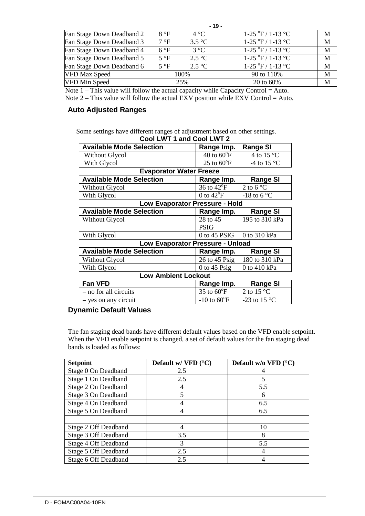|                           |              | $-19-$           |                                     |   |
|---------------------------|--------------|------------------|-------------------------------------|---|
| Fan Stage Down Deadband 2 | 8 °F         | $4^{\circ}C$     | $1-25 \text{ °F} / 1-13 \text{ °C}$ | M |
| Fan Stage Down Deadband 3 | 7 °F         | $3.5^{\circ}$ C  | $1-25 \text{ °F} / 1-13 \text{ °C}$ | M |
| Fan Stage Down Deadband 4 | $6^{\circ}F$ | $3^{\circ}C$     | $1-25 \text{ °F} / 1-13 \text{ °C}$ | M |
| Fan Stage Down Deadband 5 | $5^{\circ}F$ | $2.5^{\circ}C$   | $1-25 \text{ °F} / 1-13 \text{ °C}$ | M |
| Fan Stage Down Deadband 6 | $5^{\circ}F$ | $2.5 \text{ °C}$ | $1-25 \text{ °F} / 1-13 \text{ °C}$ | M |
| VFD Max Speed             |              | 100%             | 90 to 110%                          | M |
| <b>VFD Min Speed</b>      |              | 25%              | 20 to 60%                           | M |

Note  $1$  – This value will follow the actual capacity while Capacity Control = Auto.

Note 2 – This value will follow the actual EXV position while EXV Control = Auto.

## **Auto Adjusted Ranges**

Some settings have different ranges of adjustment based on other settings. **Cool LWT 1 and Cool LWT 2** 

|                                  | <b>000 LW LIGHT COULLWILL</b> |                               |  |  |  |  |
|----------------------------------|-------------------------------|-------------------------------|--|--|--|--|
| <b>Available Mode Selection</b>  | Range Imp.                    | <b>Range SI</b>               |  |  |  |  |
| Without Glycol                   | $40$ to $60^{\circ}$ F        | 4 to 15 $\degree$ C           |  |  |  |  |
| With Glycol                      | 25 to $60^{\circ}$ F          | -4 to 15 $\mathrm{^{\circ}C}$ |  |  |  |  |
| <b>Evaporator Water Freeze</b>   |                               |                               |  |  |  |  |
| <b>Available Mode Selection</b>  | Range Imp.                    | <b>Range SI</b>               |  |  |  |  |
| <b>Without Glycol</b>            | 36 to 42°F                    | 2 to 6 $^{\circ}$ C           |  |  |  |  |
| With Glycol                      | 0 to $42^{\circ}$ F           | -18 to 6 $\mathrm{^{\circ}C}$ |  |  |  |  |
| Low Evaporator Pressure - Hold   |                               |                               |  |  |  |  |
| <b>Available Mode Selection</b>  | Range Imp.                    | <b>Range SI</b>               |  |  |  |  |
| <b>Without Glycol</b>            | 28 to 45                      | 195 to 310 kPa                |  |  |  |  |
|                                  | <b>PSIG</b>                   |                               |  |  |  |  |
| With Glycol                      | $0$ to 45 PSIG                | 0 to 310 kPa                  |  |  |  |  |
| Low Evaporator Pressure - Unload |                               |                               |  |  |  |  |
| <b>Available Mode Selection</b>  | Range Imp.                    | <b>Range SI</b>               |  |  |  |  |
| <b>Without Glycol</b>            | $26$ to $45$ Psig             | 180 to 310 kPa                |  |  |  |  |
| With Glycol                      | 0 to 45 $\text{Psig}$         | 0 to 410 kPa                  |  |  |  |  |
| <b>Low Ambient Lockout</b>       |                               |                               |  |  |  |  |
| Fan VFD                          | Range Imp.                    | <b>Range SI</b>               |  |  |  |  |
| $=$ no for all circuits          | 35 to $60^{\circ}$ F          | 2 to 15 $^{\circ}$ C          |  |  |  |  |
| $=$ yes on any circuit           | $-10$ to $60^{\circ}F$        | -23 to 15 $\degree$ C         |  |  |  |  |

## **Dynamic Default Values**

The fan staging dead bands have different default values based on the VFD enable setpoint. When the VFD enable setpoint is changed, a set of default values for the fan staging dead bands is loaded as follows:

| <b>Setpoint</b>      | Default w/ $VFD$ ( $°C$ ) | Default w/o VFD $(^{\circ}C)$ |
|----------------------|---------------------------|-------------------------------|
| Stage 0 On Deadband  | 2.5                       |                               |
| Stage 1 On Deadband  | 2.5                       |                               |
| Stage 2 On Deadband  |                           | 5.5                           |
| Stage 3 On Deadband  | 5                         | 6                             |
| Stage 4 On Deadband  |                           | 6.5                           |
| Stage 5 On Deadband  | 4                         | 6.5                           |
|                      |                           |                               |
| Stage 2 Off Deadband |                           | 10                            |
| Stage 3 Off Deadband | 3.5                       | 8                             |
| Stage 4 Off Deadband | 3                         | 5.5                           |
| Stage 5 Off Deadband | 2.5                       |                               |
| Stage 6 Off Deadband | 2.5                       |                               |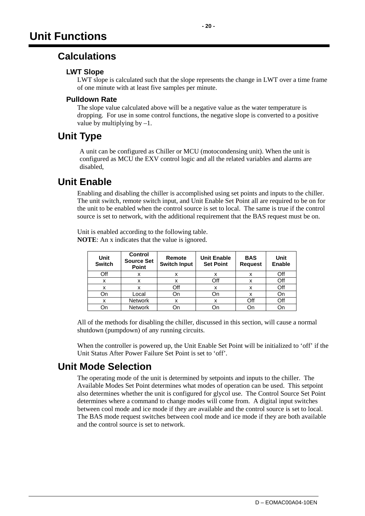## **Calculations**

## **LWT Slope**

LWT slope is calculated such that the slope represents the change in LWT over a time frame of one minute with at least five samples per minute.

## **Pulldown Rate**

The slope value calculated above will be a negative value as the water temperature is dropping. For use in some control functions, the negative slope is converted to a positive value by multiplying by  $-1$ .

## **Unit Type**

A unit can be configured as Chiller or MCU (motocondensing unit). When the unit is configured as MCU the EXV control logic and all the related variables and alarms are disabled,

## **Unit Enable**

Enabling and disabling the chiller is accomplished using set points and inputs to the chiller. The unit switch, remote switch input, and Unit Enable Set Point all are required to be on for the unit to be enabled when the control source is set to local. The same is true if the control source is set to network, with the additional requirement that the BAS request must be on.

Unit is enabled according to the following table. **NOTE**: An x indicates that the value is ignored.

| <b>Unit</b><br><b>Switch</b> | <b>Control</b><br><b>Source Set</b><br>Point | Remote<br><b>Switch Input</b> | <b>Unit Enable</b><br><b>Set Point</b> | <b>BAS</b><br><b>Request</b> | Unit<br><b>Enable</b> |
|------------------------------|----------------------------------------------|-------------------------------|----------------------------------------|------------------------------|-----------------------|
| Off                          | x                                            | х                             | х                                      | X                            | Off                   |
| x                            | X                                            | x                             | Off                                    | X                            | Off                   |
| х                            |                                              | Off                           | х                                      | x                            | Off                   |
| On                           | Local                                        | On                            | On                                     | х                            | On                    |
| x                            | <b>Network</b>                               | х                             | х                                      | Off                          | Off                   |
| On                           | <b>Network</b>                               | Jn                            | Dη                                     |                              |                       |

All of the methods for disabling the chiller, discussed in this section, will cause a normal shutdown (pumpdown) of any running circuits.

When the controller is powered up, the Unit Enable Set Point will be initialized to 'off' if the Unit Status After Power Failure Set Point is set to 'off'.

## **Unit Mode Selection**

The operating mode of the unit is determined by setpoints and inputs to the chiller. The Available Modes Set Point determines what modes of operation can be used. This setpoint also determines whether the unit is configured for glycol use. The Control Source Set Point determines where a command to change modes will come from. A digital input switches between cool mode and ice mode if they are available and the control source is set to local. The BAS mode request switches between cool mode and ice mode if they are both available and the control source is set to network.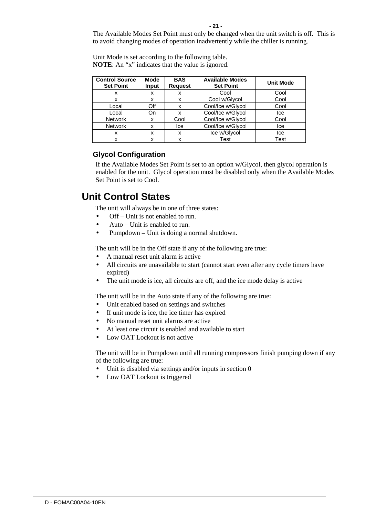The Available Modes Set Point must only be changed when the unit switch is off. This is to avoid changing modes of operation inadvertently while the chiller is running.

| <b>Control Source</b><br><b>Set Point</b> | Mode<br>Input | <b>BAS</b><br><b>Request</b> | <b>Available Modes</b><br><b>Set Point</b> | <b>Unit Mode</b> |
|-------------------------------------------|---------------|------------------------------|--------------------------------------------|------------------|
| x                                         | х             | x                            | Cool                                       | Cool             |
| x                                         | x             | x                            | Cool w/Glycol                              | Cool             |
| Local                                     | Off           | x                            | Cool/Ice w/Glycol                          | Cool             |
| Local                                     | On            | x                            | Cool/Ice w/Glycol                          | lce              |
| <b>Network</b>                            | x             | Cool                         | Cool/Ice w/Glycol                          | Cool             |
| <b>Network</b>                            | x             | lce                          | Cool/Ice w/Glycol                          | lce              |
| x                                         | x             | x                            | Ice w/Glycol                               | lce              |
| x                                         | x             | x                            | Test                                       | Test             |

Unit Mode is set according to the following table. **NOTE**: An "x" indicates that the value is ignored.

## **Glycol Configuration**

If the Available Modes Set Point is set to an option w/Glycol, then glycol operation is enabled for the unit. Glycol operation must be disabled only when the Available Modes Set Point is set to Cool.

## **Unit Control States**

The unit will always be in one of three states:

- Off Unit is not enabled to run.
- Auto Unit is enabled to run.
- Pumpdown Unit is doing a normal shutdown.

The unit will be in the Off state if any of the following are true:

- A manual reset unit alarm is active
- All circuits are unavailable to start (cannot start even after any cycle timers have expired)
- The unit mode is ice, all circuits are off, and the ice mode delay is active

The unit will be in the Auto state if any of the following are true:

- Unit enabled based on settings and switches
- If unit mode is ice, the ice timer has expired
- No manual reset unit alarms are active
- At least one circuit is enabled and available to start
- Low OAT Lockout is not active

The unit will be in Pumpdown until all running compressors finish pumping down if any of the following are true:

- Unit is disabled via settings and/or inputs in section 0
- Low OAT Lockout is triggered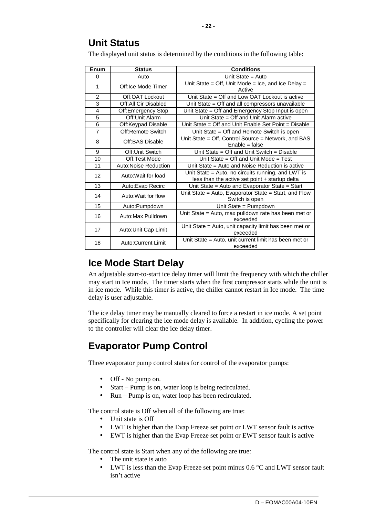The displayed unit status is determined by the conditions in the following table:

| Enum           | <b>Status</b>             | <b>Conditions</b>                                                                                    |
|----------------|---------------------------|------------------------------------------------------------------------------------------------------|
| 0              | Auto                      | Unit State = $Auto$                                                                                  |
| 1              | Off:Ice Mode Timer        | Unit State = Off, Unit Mode = Ice, and Ice Delay =<br>Active                                         |
| $\overline{2}$ | Off:OAT Lockout           | Unit State = Off and Low OAT Lockout is active                                                       |
| 3              | Off:All Cir Disabled      | Unit State $=$ Off and all compressors unavailable                                                   |
| 4              | Off:Emergency Stop        | Unit State = Off and Emergency Stop Input is open                                                    |
| $\overline{5}$ | Off: Unit Alarm           | Unit State = Off and Unit Alarm active                                                               |
| 6              | Off:Keypad Disable        | Unit State = Off and Unit Enable Set Point = Disable                                                 |
| $\overline{7}$ | Off:Remote Switch         | Unit State = Off and Remote Switch is open                                                           |
| 8              | Off:BAS Disable           | Unit State = Off, Control Source = Network, and BAS<br>$Enable = false$                              |
| 9              | Off: Unit Switch          | Unit State = Off and Unit Switch = Disable                                                           |
| 10             | Off:Test Mode             | Unit State = Off and Unit Mode = Test                                                                |
| 11             | Auto:Noise Reduction      | Unit State = Auto and Noise Reduction is active                                                      |
| 12             | Auto: Wait for load       | Unit State = Auto, no circuits running, and LWT is<br>less than the active set point + startup delta |
| 13             | Auto: Evap Recirc         | Unit State = Auto and Evaporator State = Start                                                       |
| 14             | Auto: Wait for flow       | Unit State = Auto, Evaporator State = Start, and Flow<br>Switch is open                              |
| 15             | Auto:Pumpdown             | Unit State = Pumpdown                                                                                |
| 16             | Auto:Max Pulldown         | Unit State = Auto, max pulldown rate has been met or<br>exceeded                                     |
| 17             | Auto: Unit Cap Limit      | Unit State = Auto, unit capacity limit has been met or<br>exceeded                                   |
| 18             | <b>Auto:Current Limit</b> | Unit State = Auto, unit current limit has been met or<br>exceeded                                    |

## **Ice Mode Start Delay**

An adjustable start-to-start ice delay timer will limit the frequency with which the chiller may start in Ice mode. The timer starts when the first compressor starts while the unit is in ice mode. While this timer is active, the chiller cannot restart in Ice mode. The time delay is user adjustable.

The ice delay timer may be manually cleared to force a restart in ice mode. A set point specifically for clearing the ice mode delay is available. In addition, cycling the power to the controller will clear the ice delay timer.

# **Evaporator Pump Control**

Three evaporator pump control states for control of the evaporator pumps:

- Off No pump on.
- Start Pump is on, water loop is being recirculated.
- Run Pump is on, water loop has been recirculated.

The control state is Off when all of the following are true:

- Unit state is Off
- LWT is higher than the Evap Freeze set point or LWT sensor fault is active
- EWT is higher than the Evap Freeze set point or EWT sensor fault is active

The control state is Start when any of the following are true:

- The unit state is auto
- LWT is less than the Evap Freeze set point minus  $0.6\degree$ C and LWT sensor fault isn't active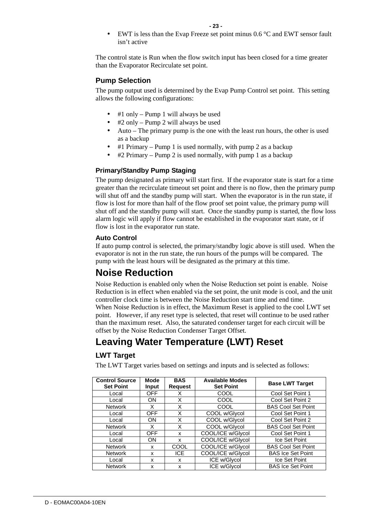EWT is less than the Evap Freeze set point minus  $0.6^{\circ}$ C and EWT sensor fault isn't active

The control state is Run when the flow switch input has been closed for a time greater than the Evaporator Recirculate set point.

## **Pump Selection**

The pump output used is determined by the Evap Pump Control set point. This setting allows the following configurations:

- #1 only Pump 1 will always be used
- #2 only Pump 2 will always be used
- Auto The primary pump is the one with the least run hours, the other is used as a backup
- #1 Primary Pump 1 is used normally, with pump 2 as a backup
- #2 Primary Pump 2 is used normally, with pump 1 as a backup

## **Primary/Standby Pump Staging**

The pump designated as primary will start first. If the evaporator state is start for a time greater than the recirculate timeout set point and there is no flow, then the primary pump will shut off and the standby pump will start. When the evaporator is in the run state, if flow is lost for more than half of the flow proof set point value, the primary pump will shut off and the standby pump will start. Once the standby pump is started, the flow loss alarm logic will apply if flow cannot be established in the evaporator start state, or if flow is lost in the evaporator run state.

## **Auto Control**

If auto pump control is selected, the primary/standby logic above is still used. When the evaporator is not in the run state, the run hours of the pumps will be compared. The pump with the least hours will be designated as the primary at this time.

## **Noise Reduction**

Noise Reduction is enabled only when the Noise Reduction set point is enable. Noise Reduction is in effect when enabled via the set point, the unit mode is cool, and the unit controller clock time is between the Noise Reduction start time and end time. When Noise Reduction is in effect, the Maximum Reset is applied to the cool LWT set point. However, if any reset type is selected, that reset will continue to be used rather than the maximum reset. Also, the saturated condenser target for each circuit will be offset by the Noise Reduction Condenser Target Offset.

## **Leaving Water Temperature (LWT) Reset**

## **LWT Target**

The LWT Target varies based on settings and inputs and is selected as follows:

| <b>Control Source</b><br><b>Set Point</b> | Mode<br><b>Input</b> | <b>BAS</b><br><b>Request</b> | <b>Available Modes</b><br><b>Set Point</b> | <b>Base LWT Target</b>    |
|-------------------------------------------|----------------------|------------------------------|--------------------------------------------|---------------------------|
| Local                                     | <b>OFF</b>           | х                            | COOL                                       | Cool Set Point 1          |
| Local                                     | ON                   | X                            | COOL                                       | Cool Set Point 2          |
| <b>Network</b>                            | х                    | X                            | COOL                                       | <b>BAS Cool Set Point</b> |
| Local                                     | <b>OFF</b>           | X                            | COOL w/Glycol                              | Cool Set Point 1          |
| Local                                     | ON                   | X                            | COOL w/Glycol                              | Cool Set Point 2          |
| <b>Network</b>                            | X                    | X                            | COOL w/Glycol                              | <b>BAS Cool Set Point</b> |
| Local                                     | <b>OFF</b>           | x                            | COOL/ICE w/Glycol                          | Cool Set Point 1          |
| Local                                     | ON                   | x                            | COOL/ICE w/Glycol                          | Ice Set Point             |
| <b>Network</b>                            | x                    | COOL                         | COOL/ICE w/Glycol                          | <b>BAS Cool Set Point</b> |
| <b>Network</b>                            | x                    | ICE.                         | COOL/ICE w/Glycol                          | <b>BAS Ice Set Point</b>  |
| Local                                     | x                    | x                            | ICE w/Glycol                               | Ice Set Point             |
| <b>Network</b>                            | x                    | x                            | ICE w/Glycol                               | <b>BAS Ice Set Point</b>  |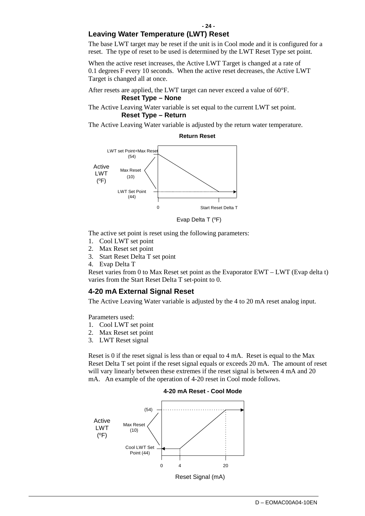## **Leaving Water Temperature (LWT) Reset**

The base LWT target may be reset if the unit is in Cool mode and it is configured for a reset. The type of reset to be used is determined by the LWT Reset Type set point.

When the active reset increases, the Active LWT Target is changed at a rate of 0.1 degrees F every 10 seconds. When the active reset decreases, the Active LWT Target is changed all at once.

After resets are applied, the LWT target can never exceed a value of 60°F. **Reset Type – None** 

The Active Leaving Water variable is set equal to the current LWT set point. **Reset Type – Return** 

The Active Leaving Water variable is adjusted by the return water temperature.



**Return Reset**

Evap Delta T (°F)

The active set point is reset using the following parameters:

- 1. Cool LWT set point
- 2. Max Reset set point
- 3. Start Reset Delta T set point
- 4. Evap Delta T

Reset varies from 0 to Max Reset set point as the Evaporator EWT – LWT (Evap delta t) varies from the Start Reset Delta T set-point to 0.

## **4-20 mA External Signal Reset**

The Active Leaving Water variable is adjusted by the 4 to 20 mA reset analog input.

Parameters used:

- 1. Cool LWT set point
- 2. Max Reset set point
- 3. LWT Reset signal

Reset is 0 if the reset signal is less than or equal to 4 mA. Reset is equal to the Max Reset Delta T set point if the reset signal equals or exceeds 20 mA. The amount of reset will vary linearly between these extremes if the reset signal is between 4 mA and 20 mA. An example of the operation of 4-20 reset in Cool mode follows.



#### **4-20 mA Reset - Cool Mode**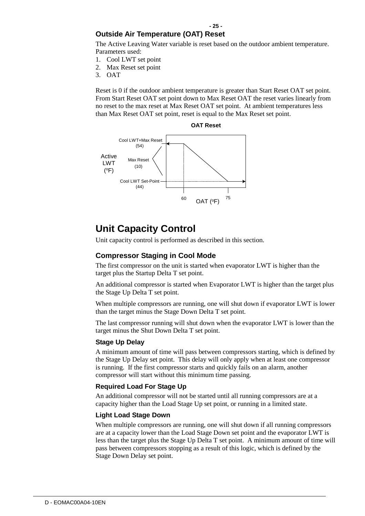## **Outside Air Temperature (OAT) Reset**

The Active Leaving Water variable is reset based on the outdoor ambient temperature. Parameters used:

- 1. Cool LWT set point
- 2. Max Reset set point
- 3. OAT

Reset is 0 if the outdoor ambient temperature is greater than Start Reset OAT set point. From Start Reset OAT set point down to Max Reset OAT the reset varies linearly from no reset to the max reset at Max Reset OAT set point. At ambient temperatures less than Max Reset OAT set point, reset is equal to the Max Reset set point.



## **Unit Capacity Control**

Unit capacity control is performed as described in this section.

## **Compressor Staging in Cool Mode**

The first compressor on the unit is started when evaporator LWT is higher than the target plus the Startup Delta T set point.

An additional compressor is started when Evaporator LWT is higher than the target plus the Stage Up Delta T set point.

When multiple compressors are running, one will shut down if evaporator LWT is lower than the target minus the Stage Down Delta T set point.

The last compressor running will shut down when the evaporator LWT is lower than the target minus the Shut Down Delta T set point.

#### **Stage Up Delay**

A minimum amount of time will pass between compressors starting, which is defined by the Stage Up Delay set point. This delay will only apply when at least one compressor is running. If the first compressor starts and quickly fails on an alarm, another compressor will start without this minimum time passing.

#### **Required Load For Stage Up**

An additional compressor will not be started until all running compressors are at a capacity higher than the Load Stage Up set point, or running in a limited state.

#### **Light Load Stage Down**

When multiple compressors are running, one will shut down if all running compressors are at a capacity lower than the Load Stage Down set point and the evaporator LWT is less than the target plus the Stage Up Delta T set point. A minimum amount of time will pass between compressors stopping as a result of this logic, which is defined by the Stage Down Delay set point.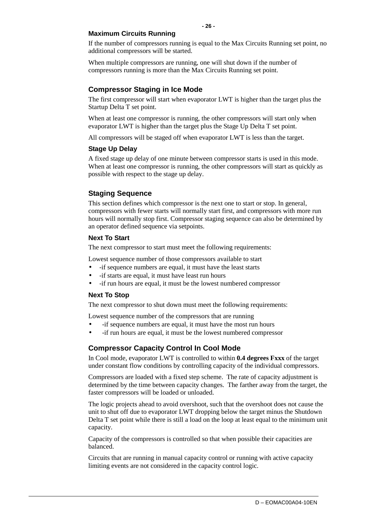#### **Maximum Circuits Running**

If the number of compressors running is equal to the Max Circuits Running set point, no additional compressors will be started.

When multiple compressors are running, one will shut down if the number of compressors running is more than the Max Circuits Running set point.

## **Compressor Staging in Ice Mode**

The first compressor will start when evaporator LWT is higher than the target plus the Startup Delta T set point.

When at least one compressor is running, the other compressors will start only when evaporator LWT is higher than the target plus the Stage Up Delta T set point.

All compressors will be staged off when evaporator LWT is less than the target.

#### **Stage Up Delay**

A fixed stage up delay of one minute between compressor starts is used in this mode. When at least one compressor is running, the other compressors will start as quickly as possible with respect to the stage up delay.

## **Staging Sequence**

This section defines which compressor is the next one to start or stop. In general, compressors with fewer starts will normally start first, and compressors with more run hours will normally stop first. Compressor staging sequence can also be determined by an operator defined sequence via setpoints.

## **Next To Start**

The next compressor to start must meet the following requirements:

Lowest sequence number of those compressors available to start

- -if sequence numbers are equal, it must have the least starts
- -if starts are equal, it must have least run hours
- -if run hours are equal, it must be the lowest numbered compressor

#### **Next To Stop**

The next compressor to shut down must meet the following requirements:

Lowest sequence number of the compressors that are running

- -if sequence numbers are equal, it must have the most run hours
- -if run hours are equal, it must be the lowest numbered compressor

## **Compressor Capacity Control In Cool Mode**

In Cool mode, evaporator LWT is controlled to within **0.4 degrees Fxxx** of the target under constant flow conditions by controlling capacity of the individual compressors.

Compressors are loaded with a fixed step scheme. The rate of capacity adjustment is determined by the time between capacity changes. The farther away from the target, the faster compressors will be loaded or unloaded.

The logic projects ahead to avoid overshoot, such that the overshoot does not cause the unit to shut off due to evaporator LWT dropping below the target minus the Shutdown Delta T set point while there is still a load on the loop at least equal to the minimum unit capacity.

Capacity of the compressors is controlled so that when possible their capacities are balanced.

Circuits that are running in manual capacity control or running with active capacity limiting events are not considered in the capacity control logic.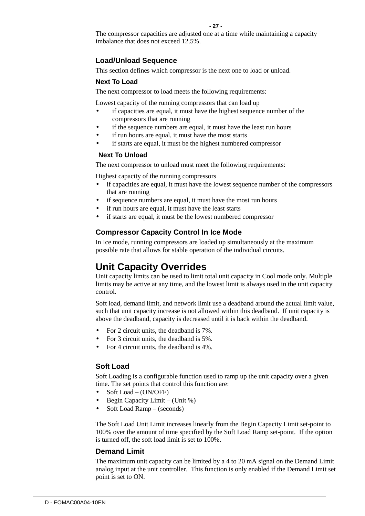The compressor capacities are adjusted one at a time while maintaining a capacity imbalance that does not exceed 12.5%.

## **Load/Unload Sequence**

This section defines which compressor is the next one to load or unload.

#### **Next To Load**

The next compressor to load meets the following requirements:

Lowest capacity of the running compressors that can load up

- if capacities are equal, it must have the highest sequence number of the compressors that are running
- if the sequence numbers are equal, it must have the least run hours
- if run hours are equal, it must have the most starts
- if starts are equal, it must be the highest numbered compressor

#### **Next To Unload**

The next compressor to unload must meet the following requirements:

Highest capacity of the running compressors

- if capacities are equal, it must have the lowest sequence number of the compressors that are running
- if sequence numbers are equal, it must have the most run hours
- if run hours are equal, it must have the least starts
- if starts are equal, it must be the lowest numbered compressor

## **Compressor Capacity Control In Ice Mode**

In Ice mode, running compressors are loaded up simultaneously at the maximum possible rate that allows for stable operation of the individual circuits.

## **Unit Capacity Overrides**

Unit capacity limits can be used to limit total unit capacity in Cool mode only. Multiple limits may be active at any time, and the lowest limit is always used in the unit capacity control.

Soft load, demand limit, and network limit use a deadband around the actual limit value, such that unit capacity increase is not allowed within this deadband. If unit capacity is above the deadband, capacity is decreased until it is back within the deadband.

- For 2 circuit units, the deadband is 7%.
- For 3 circuit units, the deadband is 5%.
- For 4 circuit units, the deadband is 4%.

## **Soft Load**

Soft Loading is a configurable function used to ramp up the unit capacity over a given time. The set points that control this function are:

- Soft Load (ON/OFF)
- Begin Capacity Limit (Unit %)
- Soft Load Ramp (seconds)

The Soft Load Unit Limit increases linearly from the Begin Capacity Limit set-point to 100% over the amount of time specified by the Soft Load Ramp set-point. If the option is turned off, the soft load limit is set to 100%.

## **Demand Limit**

The maximum unit capacity can be limited by a 4 to 20 mA signal on the Demand Limit analog input at the unit controller. This function is only enabled if the Demand Limit set point is set to ON.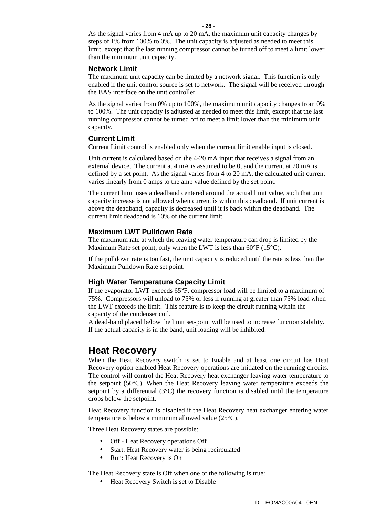As the signal varies from 4 mA up to 20 mA, the maximum unit capacity changes by steps of 1% from 100% to 0%. The unit capacity is adjusted as needed to meet this limit, except that the last running compressor cannot be turned off to meet a limit lower than the minimum unit capacity.

#### **Network Limit**

The maximum unit capacity can be limited by a network signal. This function is only enabled if the unit control source is set to network. The signal will be received through the BAS interface on the unit controller.

As the signal varies from 0% up to 100%, the maximum unit capacity changes from 0% to 100%. The unit capacity is adjusted as needed to meet this limit, except that the last running compressor cannot be turned off to meet a limit lower than the minimum unit capacity.

#### **Current Limit**

Current Limit control is enabled only when the current limit enable input is closed.

Unit current is calculated based on the 4-20 mA input that receives a signal from an external device. The current at 4 mA is assumed to be 0, and the current at 20 mA is defined by a set point. As the signal varies from 4 to 20 mA, the calculated unit current varies linearly from 0 amps to the amp value defined by the set point.

The current limit uses a deadband centered around the actual limit value, such that unit capacity increase is not allowed when current is within this deadband. If unit current is above the deadband, capacity is decreased until it is back within the deadband. The current limit deadband is 10% of the current limit.

## **Maximum LWT Pulldown Rate**

The maximum rate at which the leaving water temperature can drop is limited by the Maximum Rate set point, only when the LWT is less than 60°F (15°C).

If the pulldown rate is too fast, the unit capacity is reduced until the rate is less than the Maximum Pulldown Rate set point.

## **High Water Temperature Capacity Limit**

If the evaporator LWT exceeds 65°F, compressor load will be limited to a maximum of 75%. Compressors will unload to 75% or less if running at greater than 75% load when the LWT exceeds the limit. This feature is to keep the circuit running within the capacity of the condenser coil.

A dead-band placed below the limit set-point will be used to increase function stability. If the actual capacity is in the band, unit loading will be inhibited.

## **Heat Recovery**

When the Heat Recovery switch is set to Enable and at least one circuit has Heat Recovery option enabled Heat Recovery operations are initiated on the running circuits. The control will control the Heat Recovery heat exchanger leaving water temperature to the setpoint (50°C). When the Heat Recovery leaving water temperature exceeds the setpoint by a differential  $(3^{\circ}C)$  the recovery function is disabled until the temperature drops below the setpoint.

Heat Recovery function is disabled if the Heat Recovery heat exchanger entering water temperature is below a minimum allowed value (25°C).

Three Heat Recovery states are possible:

- Off Heat Recovery operations Off
- Start: Heat Recovery water is being recirculated
- Run: Heat Recovery is On

The Heat Recovery state is Off when one of the following is true:

• Heat Recovery Switch is set to Disable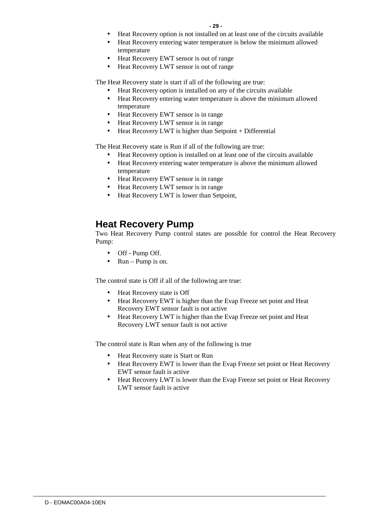- Heat Recovery option is not installed on at least one of the circuits available
- Heat Recovery entering water temperature is below the minimum allowed temperature
- Heat Recovery EWT sensor is out of range
- Heat Recovery LWT sensor is out of range

The Heat Recovery state is start if all of the following are true:

- Heat Recovery option is installed on any of the circuits available
- Heat Recovery entering water temperature is above the minimum allowed temperature
- Heat Recovery EWT sensor is in range
- Heat Recovery LWT sensor is in range
- Heat Recovery LWT is higher than Setpoint + Differential

The Heat Recovery state is Run if all of the following are true:

- Heat Recovery option is installed on at least one of the circuits available
- Heat Recovery entering water temperature is above the minimum allowed temperature
- Heat Recovery EWT sensor is in range
- Heat Recovery LWT sensor is in range
- Heat Recovery LWT is lower than Setpoint,

## **Heat Recovery Pump**

Two Heat Recovery Pump control states are possible for control the Heat Recovery Pump:

- Off Pump Off.
- Run Pump is on.

The control state is Off if all of the following are true:

- Heat Recovery state is Off
- Heat Recovery EWT is higher than the Evap Freeze set point and Heat Recovery EWT sensor fault is not active
- Heat Recovery LWT is higher than the Evap Freeze set point and Heat Recovery LWT sensor fault is not active

The control state is Run when any of the following is true

- Heat Recovery state is Start or Run
- Heat Recovery EWT is lower than the Evap Freeze set point or Heat Recovery EWT sensor fault is active
- Heat Recovery LWT is lower than the Evap Freeze set point or Heat Recovery LWT sensor fault is active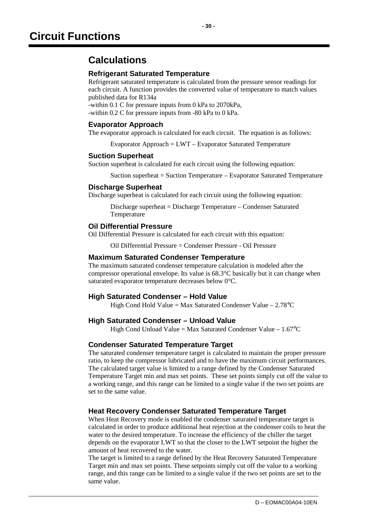## **Refrigerant Saturated Temperature**

Refrigerant saturated temperature is calculated from the pressure sensor readings for each circuit. A function provides the converted value of temperature to match values published data for R134a

-within 0.1 C for pressure inputs from 0 kPa to 2070kPa,

-within 0.2 C for pressure inputs from -80 kPa to 0 kPa.

## **Evaporator Approach**

The evaporator approach is calculated for each circuit. The equation is as follows:

Evaporator Approach = LWT – Evaporator Saturated Temperature

## **Suction Superheat**

Suction superheat is calculated for each circuit using the following equation:

Suction superheat = Suction Temperature – Evaporator Saturated Temperature

## **Discharge Superheat**

Discharge superheat is calculated for each circuit using the following equation:

Discharge superheat = Discharge Temperature – Condenser Saturated Temperature

## **Oil Differential Pressure**

Oil Differential Pressure is calculated for each circuit with this equation:

Oil Differential Pressure = Condenser Pressure - Oil Pressure

## **Maximum Saturated Condenser Temperature**

The maximum saturated condenser temperature calculation is modeled after the compressor operational envelope. Its value is 68.3°C basically but it can change when saturated evaporator temperature decreases below 0°C.

## **High Saturated Condenser – Hold Value**

High Cond Hold Value = Max Saturated Condenser Value –  $2.78^{\circ}$ C

## **High Saturated Condenser – Unload Value**

High Cond Unload Value = Max Saturated Condenser Value  $-1.67^{\circ}$ C

## **Condenser Saturated Temperature Target**

The saturated condenser temperature target is calculated to maintain the proper pressure ratio, to keep the compressor lubricated and to have the maximum circuit performances. The calculated target value is limited to a range defined by the Condenser Saturated Temperature Target min and max set points. These set points simply cut off the value to a working range, and this range can be limited to a single value if the two set points are set to the same value.

## **Heat Recovery Condenser Saturated Temperature Target**

When Heat Recovery mode is enabled the condenser saturated temperature target is calculated in order to produce additional heat rejection at the condenser coils to heat the water to the desired temperature. To increase the efficiency of the chiller the target depends on the evaporator LWT so that the closer to the LWT setpoint the higher the amount of heat recovered to the water.

The target is limited to a range defined by the Heat Recovery Saturated Temperature Target min and max set points. These setpoints simply cut off the value to a working range, and this range can be limited to a single value if the two set points are set to the same value.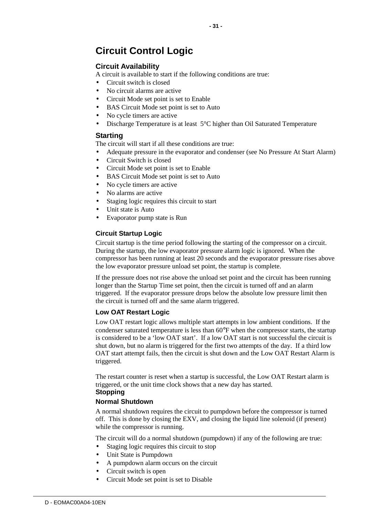# **Circuit Control Logic**

## **Circuit Availability**

A circuit is available to start if the following conditions are true:

- Circuit switch is closed
- No circuit alarms are active
- Circuit Mode set point is set to Enable
- BAS Circuit Mode set point is set to Auto
- No cycle timers are active
- Discharge Temperature is at least 5°C higher than Oil Saturated Temperature

## **Starting**

The circuit will start if all these conditions are true:

- Adequate pressure in the evaporator and condenser (see No Pressure At Start Alarm)
- Circuit Switch is closed
- Circuit Mode set point is set to Enable
- BAS Circuit Mode set point is set to Auto
- No cycle timers are active
- No alarms are active
- Staging logic requires this circuit to start
- Unit state is Auto
- Evaporator pump state is Run

## **Circuit Startup Logic**

Circuit startup is the time period following the starting of the compressor on a circuit. During the startup, the low evaporator pressure alarm logic is ignored. When the compressor has been running at least 20 seconds and the evaporator pressure rises above the low evaporator pressure unload set point, the startup is complete.

If the pressure does not rise above the unload set point and the circuit has been running longer than the Startup Time set point, then the circuit is turned off and an alarm triggered. If the evaporator pressure drops below the absolute low pressure limit then the circuit is turned off and the same alarm triggered.

## **Low OAT Restart Logic**

Low OAT restart logic allows multiple start attempts in low ambient conditions. If the condenser saturated temperature is less than 60°F when the compressor starts, the startup is considered to be a 'low OAT start'. If a low OAT start is not successful the circuit is shut down, but no alarm is triggered for the first two attempts of the day. If a third low OAT start attempt fails, then the circuit is shut down and the Low OAT Restart Alarm is triggered.

The restart counter is reset when a startup is successful, the Low OAT Restart alarm is triggered, or the unit time clock shows that a new day has started.

## **Stopping**

## **Normal Shutdown**

A normal shutdown requires the circuit to pumpdown before the compressor is turned off. This is done by closing the EXV, and closing the liquid line solenoid (if present) while the compressor is running.

The circuit will do a normal shutdown (pumpdown) if any of the following are true:

- Staging logic requires this circuit to stop
- Unit State is Pumpdown
- A pumpdown alarm occurs on the circuit
- Circuit switch is open
- Circuit Mode set point is set to Disable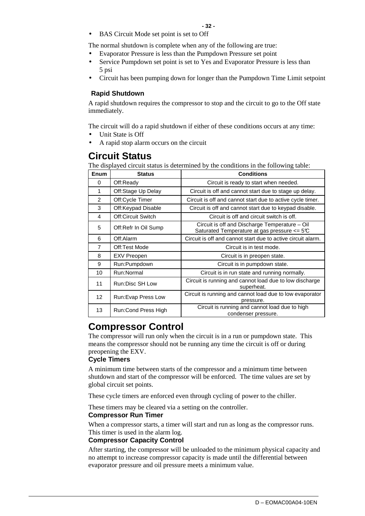BAS Circuit Mode set point is set to Off

The normal shutdown is complete when any of the following are true:

- Evaporator Pressure is less than the Pumpdown Pressure set point
- Service Pumpdown set point is set to Yes and Evaporator Pressure is less than 5 psi
- Circuit has been pumping down for longer than the Pumpdown Time Limit setpoint

#### **Rapid Shutdown**

A rapid shutdown requires the compressor to stop and the circuit to go to the Off state immediately.

The circuit will do a rapid shutdown if either of these conditions occurs at any time:

- Unit State is Off
- A rapid stop alarm occurs on the circuit

## **Circuit Status**

The displayed circuit status is determined by the conditions in the following table:

| Enum            | <b>Status</b>        | <b>Conditions</b>                                                                                      |
|-----------------|----------------------|--------------------------------------------------------------------------------------------------------|
| 0               | Off:Ready            | Circuit is ready to start when needed.                                                                 |
| 1               | Off:Stage Up Delay   | Circuit is off and cannot start due to stage up delay.                                                 |
| 2               | Off:Cycle Timer      | Circuit is off and cannot start due to active cycle timer.                                             |
| 3               | Off:Keypad Disable   | Circuit is off and cannot start due to keypad disable.                                                 |
| 4               | Off:Circuit Switch   | Circuit is off and circuit switch is off.                                                              |
| 5               | Off:Refr In Oil Sump | Circuit is off and Discharge Temperature – Oil<br>Saturated Temperature at gas pressure $\leq 5^\circ$ |
| 6               | Off:Alarm            | Circuit is off and cannot start due to active circuit alarm.                                           |
| $\overline{7}$  | Off:Test Mode        | Circuit is in test mode.                                                                               |
| 8               | <b>EXV Preopen</b>   | Circuit is in preopen state.                                                                           |
| 9               | Run:Pumpdown         | Circuit is in pumpdown state.                                                                          |
| 10              | Run:Normal           | Circuit is in run state and running normally.                                                          |
| 11              | Run:Disc SH Low      | Circuit is running and cannot load due to low discharge<br>superheat.                                  |
| 12 <sup>2</sup> | Run: Evap Press Low  | Circuit is running and cannot load due to low evaporator<br>pressure.                                  |
| 13              | Run:Cond Press High  | Circuit is running and cannot load due to high<br>condenser pressure.                                  |

## **Compressor Control**

The compressor will run only when the circuit is in a run or pumpdown state. This means the compressor should not be running any time the circuit is off or during preopening the EXV.

#### **Cycle Timers**

A minimum time between starts of the compressor and a minimum time between shutdown and start of the compressor will be enforced. The time values are set by global circuit set points.

These cycle timers are enforced even through cycling of power to the chiller.

These timers may be cleared via a setting on the controller.

#### **Compressor Run Timer**

When a compressor starts, a timer will start and run as long as the compressor runs. This timer is used in the alarm log.

#### **Compressor Capacity Control**

After starting, the compressor will be unloaded to the minimum physical capacity and no attempt to increase compressor capacity is made until the differential between evaporator pressure and oil pressure meets a minimum value.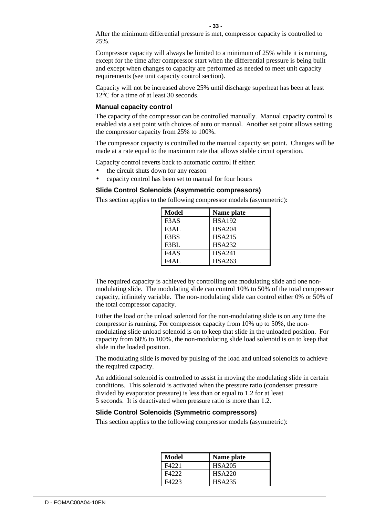**- 33 -**

Compressor capacity will always be limited to a minimum of 25% while it is running, except for the time after compressor start when the differential pressure is being built and except when changes to capacity are performed as needed to meet unit capacity requirements (see unit capacity control section).

Capacity will not be increased above 25% until discharge superheat has been at least 12°C for a time of at least 30 seconds.

#### **Manual capacity control**

The capacity of the compressor can be controlled manually. Manual capacity control is enabled via a set point with choices of auto or manual. Another set point allows setting the compressor capacity from 25% to 100%.

The compressor capacity is controlled to the manual capacity set point. Changes will be made at a rate equal to the maximum rate that allows stable circuit operation.

Capacity control reverts back to automatic control if either:

- the circuit shuts down for any reason
- capacity control has been set to manual for four hours

## **Slide Control Solenoids (Asymmetric compressors)**

This section applies to the following compressor models (asymmetric):

| <b>Model</b> | Name plate    |
|--------------|---------------|
| F3AS         | <b>HSA192</b> |
| F3AL         | <b>HSA204</b> |
| F3BS         | <b>HSA215</b> |
| F3BL         | <b>HSA232</b> |
| F4AS         | <b>HSA241</b> |
| FAAI         | <b>HSA263</b> |

The required capacity is achieved by controlling one modulating slide and one nonmodulating slide. The modulating slide can control 10% to 50% of the total compressor capacity, infinitely variable. The non-modulating slide can control either 0% or 50% of the total compressor capacity.

Either the load or the unload solenoid for the non-modulating slide is on any time the compressor is running. For compressor capacity from 10% up to 50%, the nonmodulating slide unload solenoid is on to keep that slide in the unloaded position. For capacity from 60% to 100%, the non-modulating slide load solenoid is on to keep that slide in the loaded position.

The modulating slide is moved by pulsing of the load and unload solenoids to achieve the required capacity.

An additional solenoid is controlled to assist in moving the modulating slide in certain conditions. This solenoid is activated when the pressure ratio (condenser pressure divided by evaporator pressure) is less than or equal to 1.2 for at least 5 seconds. It is deactivated when pressure ratio is more than 1.2.

## **Slide Control Solenoids (Symmetric compressors)**

This section applies to the following compressor models (asymmetric):

| Model | Name plate    |
|-------|---------------|
| F4221 | <b>HSA205</b> |
| F4222 | <b>HSA220</b> |
| F4223 | <b>HSA235</b> |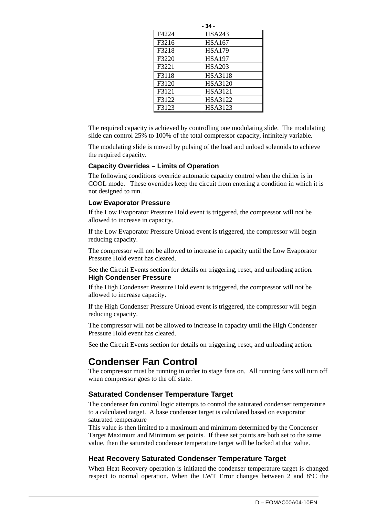|       | - 34 -         |
|-------|----------------|
| F4224 | <b>HSA243</b>  |
| F3216 | <b>HSA167</b>  |
| F3218 | <b>HSA179</b>  |
| F3220 | <b>HSA197</b>  |
| F3221 | <b>HSA203</b>  |
| F3118 | <b>HSA3118</b> |
| F3120 | <b>HSA3120</b> |
| F3121 | <b>HSA3121</b> |
| F3122 | HSA3122        |
| F3123 | HSA3123        |

The required capacity is achieved by controlling one modulating slide. The modulating slide can control 25% to 100% of the total compressor capacity, infinitely variable.

The modulating slide is moved by pulsing of the load and unload solenoids to achieve the required capacity.

#### **Capacity Overrides – Limits of Operation**

The following conditions override automatic capacity control when the chiller is in COOL mode. These overrides keep the circuit from entering a condition in which it is not designed to run.

#### **Low Evaporator Pressure**

If the Low Evaporator Pressure Hold event is triggered, the compressor will not be allowed to increase in capacity.

If the Low Evaporator Pressure Unload event is triggered, the compressor will begin reducing capacity.

The compressor will not be allowed to increase in capacity until the Low Evaporator Pressure Hold event has cleared.

See the Circuit Events section for details on triggering, reset, and unloading action. **High Condenser Pressure** 

If the High Condenser Pressure Hold event is triggered, the compressor will not be allowed to increase capacity.

If the High Condenser Pressure Unload event is triggered, the compressor will begin reducing capacity.

The compressor will not be allowed to increase in capacity until the High Condenser Pressure Hold event has cleared.

See the Circuit Events section for details on triggering, reset, and unloading action.

## **Condenser Fan Control**

The compressor must be running in order to stage fans on. All running fans will turn off when compressor goes to the off state.

## **Saturated Condenser Temperature Target**

The condenser fan control logic attempts to control the saturated condenser temperature to a calculated target. A base condenser target is calculated based on evaporator saturated temperature

This value is then limited to a maximum and minimum determined by the Condenser Target Maximum and Minimum set points. If these set points are both set to the same value, then the saturated condenser temperature target will be locked at that value.

#### **Heat Recovery Saturated Condenser Temperature Target**

When Heat Recovery operation is initiated the condenser temperature target is changed respect to normal operation. When the LWT Error changes between 2 and 8°C the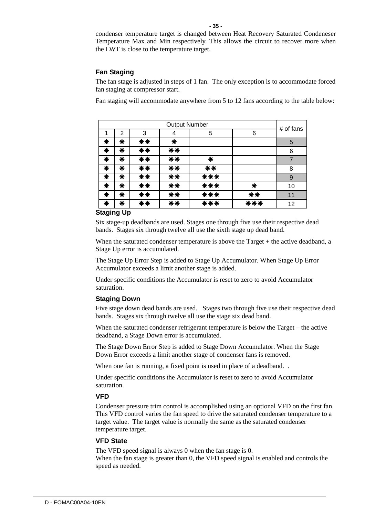condenser temperature target is changed between Heat Recovery Saturated Condeneser Temperature Max and Min respectively. This allows the circuit to recover more when the LWT is close to the temperature target.

#### **Fan Staging**

The fan stage is adjusted in steps of 1 fan. The only exception is to accommodate forced fan staging at compressor start.

Fan staging will accommodate anywhere from 5 to 12 fans according to the table below:

| <b>Output Number</b> |   |    |    |     | # of fans |    |
|----------------------|---|----|----|-----|-----------|----|
|                      | 2 | 3  | 4  | 5   | 6         |    |
| ₩                    | ₩ | ** | ₩  |     |           | 5  |
| ₩                    | ₩ | ** | ** |     |           | 6  |
| ₩                    | ₩ | ** | ** | ₩   |           |    |
| ₩                    | ₩ | ** | ** | **  |           | 8  |
| ₩                    | ₩ | ** | ** | *** |           | 9  |
| ₩                    | ₩ | ** | ** | *** | ₩         | 10 |
| ₩                    | ₩ | ** | ** | *** | **        | 11 |
| ₩                    | ∗ | ** | ** | *** | ***       | 12 |

## **Staging Up**

Six stage-up deadbands are used. Stages one through five use their respective dead bands. Stages six through twelve all use the sixth stage up dead band.

When the saturated condenser temperature is above the Target + the active deadband, a Stage Up error is accumulated.

The Stage Up Error Step is added to Stage Up Accumulator. When Stage Up Error Accumulator exceeds a limit another stage is added.

Under specific conditions the Accumulator is reset to zero to avoid Accumulator saturation.

#### **Staging Down**

Five stage down dead bands are used. Stages two through five use their respective dead bands. Stages six through twelve all use the stage six dead band.

When the saturated condenser refrigerant temperature is below the Target – the active deadband, a Stage Down error is accumulated.

The Stage Down Error Step is added to Stage Down Accumulator. When the Stage Down Error exceeds a limit another stage of condenser fans is removed.

When one fan is running, a fixed point is used in place of a deadband...

Under specific conditions the Accumulator is reset to zero to avoid Accumulator saturation.

#### **VFD**

Condenser pressure trim control is accomplished using an optional VFD on the first fan. This VFD control varies the fan speed to drive the saturated condenser temperature to a target value. The target value is normally the same as the saturated condenser temperature target.

#### **VFD State**

The VFD speed signal is always 0 when the fan stage is 0. When the fan stage is greater than 0, the VFD speed signal is enabled and controls the speed as needed.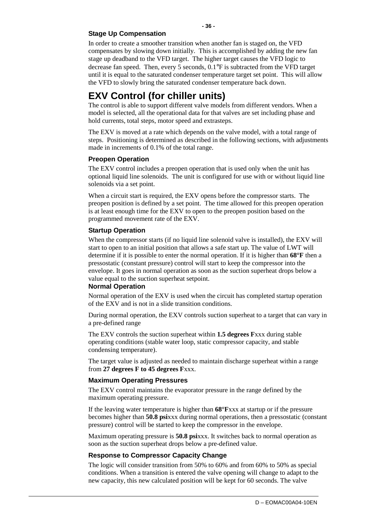## **Stage Up Compensation**

In order to create a smoother transition when another fan is staged on, the VFD compensates by slowing down initially. This is accomplished by adding the new fan stage up deadband to the VFD target. The higher target causes the VFD logic to decrease fan speed. Then, every 5 seconds, 0.1°F is subtracted from the VFD target until it is equal to the saturated condenser temperature target set point. This will allow the VFD to slowly bring the saturated condenser temperature back down.

**- 36 -**

## **EXV Control (for chiller units)**

The control is able to support different valve models from different vendors. When a model is selected, all the operational data for that valves are set including phase and hold currents, total steps, motor speed and extrasteps.

The EXV is moved at a rate which depends on the valve model, with a total range of steps. Positioning is determined as described in the following sections, with adjustments made in increments of 0.1% of the total range.

## **Preopen Operation**

The EXV control includes a preopen operation that is used only when the unit has optional liquid line solenoids. The unit is configured for use with or without liquid line solenoids via a set point.

When a circuit start is required, the EXV opens before the compressor starts. The preopen position is defined by a set point. The time allowed for this preopen operation is at least enough time for the EXV to open to the preopen position based on the programmed movement rate of the EXV.

## **Startup Operation**

When the compressor starts (if no liquid line solenoid valve is installed), the EXV will start to open to an initial position that allows a safe start up. The value of LWT will determine if it is possible to enter the normal operation. If it is higher than **68°F** then a pressostatic (constant pressure) control will start to keep the compressor into the envelope. It goes in normal operation as soon as the suction superheat drops below a value equal to the suction superheat setpoint.

## **Normal Operation**

Normal operation of the EXV is used when the circuit has completed startup operation of the EXV and is not in a slide transition conditions.

During normal operation, the EXV controls suction superheat to a target that can vary in a pre-defined range

The EXV controls the suction superheat within **1.5 degrees F**xxx during stable operating conditions (stable water loop, static compressor capacity, and stable condensing temperature).

The target value is adjusted as needed to maintain discharge superheat within a range from **27 degrees F to 45 degrees F**xxx.

## **Maximum Operating Pressures**

The EXV control maintains the evaporator pressure in the range defined by the maximum operating pressure.

If the leaving water temperature is higher than **68°F**xxx at startup or if the pressure becomes higher than **50.8 psi**xxx during normal operations, then a pressostatic (constant pressure) control will be started to keep the compressor in the envelope.

Maximum operating pressure is **50.8 psi**xxx. It switches back to normal operation as soon as the suction superheat drops below a pre-defined value.

## **Response to Compressor Capacity Change**

The logic will consider transition from 50% to 60% and from 60% to 50% as special conditions. When a transition is entered the valve opening will change to adapt to the new capacity, this new calculated position will be kept for 60 seconds. The valve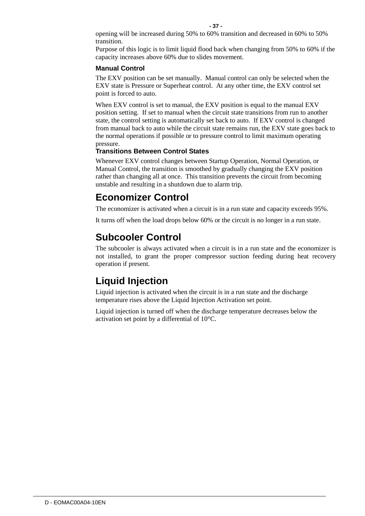opening will be increased during 50% to 60% transition and decreased in 60% to 50% transition.

Purpose of this logic is to limit liquid flood back when changing from 50% to 60% if the capacity increases above 60% due to slides movement.

#### **Manual Control**

The EXV position can be set manually. Manual control can only be selected when the EXV state is Pressure or Superheat control. At any other time, the EXV control set point is forced to auto.

When EXV control is set to manual, the EXV position is equal to the manual EXV position setting. If set to manual when the circuit state transitions from run to another state, the control setting is automatically set back to auto. If EXV control is changed from manual back to auto while the circuit state remains run, the EXV state goes back to the normal operations if possible or to pressure control to limit maximum operating pressure.

## **Transitions Between Control States**

Whenever EXV control changes between Startup Operation, Normal Operation, or Manual Control, the transition is smoothed by gradually changing the EXV position rather than changing all at once. This transition prevents the circuit from becoming unstable and resulting in a shutdown due to alarm trip.

## **Economizer Control**

The economizer is activated when a circuit is in a run state and capacity exceeds 95%.

It turns off when the load drops below 60% or the circuit is no longer in a run state.

## **Subcooler Control**

The subcooler is always activated when a circuit is in a run state and the economizer is not installed, to grant the proper compressor suction feeding during heat recovery operation if present.

## **Liquid Injection**

Liquid injection is activated when the circuit is in a run state and the discharge temperature rises above the Liquid Injection Activation set point.

Liquid injection is turned off when the discharge temperature decreases below the activation set point by a differential of 10°C.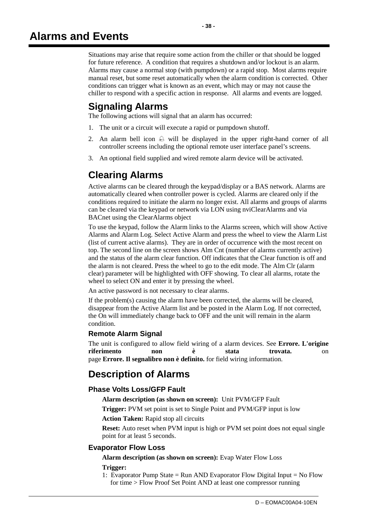Situations may arise that require some action from the chiller or that should be logged for future reference. A condition that requires a shutdown and/or lockout is an alarm. Alarms may cause a normal stop (with pumpdown) or a rapid stop. Most alarms require manual reset, but some reset automatically when the alarm condition is corrected. Other conditions can trigger what is known as an event, which may or may not cause the chiller to respond with a specific action in response. All alarms and events are logged.

## **Signaling Alarms**

The following actions will signal that an alarm has occurred:

- 1. The unit or a circuit will execute a rapid or pumpdown shutoff.
- 2. An alarm bell icon  $\ominus$  will be displayed in the upper right-hand corner of all controller screens including the optional remote user interface panel's screens.
- 3. An optional field supplied and wired remote alarm device will be activated.

## **Clearing Alarms**

Active alarms can be cleared through the keypad/display or a BAS network. Alarms are automatically cleared when controller power is cycled. Alarms are cleared only if the conditions required to initiate the alarm no longer exist. All alarms and groups of alarms can be cleared via the keypad or network via LON using nviClearAlarms and via BACnet using the ClearAlarms object

To use the keypad, follow the Alarm links to the Alarms screen, which will show Active Alarms and Alarm Log. Select Active Alarm and press the wheel to view the Alarm List (list of current active alarms). They are in order of occurrence with the most recent on top. The second line on the screen shows Alm Cnt (number of alarms currently active) and the status of the alarm clear function. Off indicates that the Clear function is off and the alarm is not cleared. Press the wheel to go to the edit mode. The Alm Clr (alarm clear) parameter will be highlighted with OFF showing. To clear all alarms, rotate the wheel to select ON and enter it by pressing the wheel.

An active password is not necessary to clear alarms.

If the problem(s) causing the alarm have been corrected, the alarms will be cleared, disappear from the Active Alarm list and be posted in the Alarm Log. If not corrected, the On will immediately change back to OFF and the unit will remain in the alarm condition.

## **Remote Alarm Signal**

The unit is configured to allow field wiring of a alarm devices. See **Errore. L'origine riferimento non è stata trovata.** on page **Errore. Il segnalibro non è definito.** for field wiring information.

## **Description of Alarms**

## **Phase Volts Loss/GFP Fault**

**Alarm description (as shown on screen):** Unit PVM/GFP Fault

**Trigger:** PVM set point is set to Single Point and PVM/GFP input is low

**Action Taken:** Rapid stop all circuits

**Reset:** Auto reset when PVM input is high or PVM set point does not equal single point for at least 5 seconds.

## **Evaporator Flow Loss**

**Alarm description (as shown on screen):** Evap Water Flow Loss

## **Trigger:**

1: Evaporator Pump State = Run AND Evaporator Flow Digital Input = No Flow for time > Flow Proof Set Point AND at least one compressor running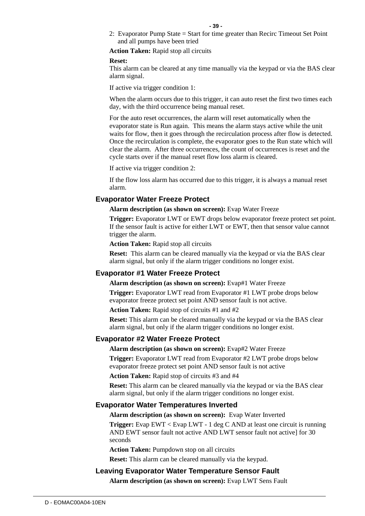2: Evaporator Pump State = Start for time greater than Recirc Timeout Set Point and all pumps have been tried

**Action Taken:** Rapid stop all circuits

#### **Reset:**

This alarm can be cleared at any time manually via the keypad or via the BAS clear alarm signal.

If active via trigger condition 1:

When the alarm occurs due to this trigger, it can auto reset the first two times each day, with the third occurrence being manual reset.

For the auto reset occurrences, the alarm will reset automatically when the evaporator state is Run again. This means the alarm stays active while the unit waits for flow, then it goes through the recirculation process after flow is detected. Once the recirculation is complete, the evaporator goes to the Run state which will clear the alarm. After three occurrences, the count of occurrences is reset and the cycle starts over if the manual reset flow loss alarm is cleared.

If active via trigger condition 2:

If the flow loss alarm has occurred due to this trigger, it is always a manual reset alarm.

## **Evaporator Water Freeze Protect**

**Alarm description (as shown on screen):** Evap Water Freeze

**Trigger:** Evaporator LWT or EWT drops below evaporator freeze protect set point. If the sensor fault is active for either LWT or EWT, then that sensor value cannot trigger the alarm.

**Action Taken:** Rapid stop all circuits

**Reset:** This alarm can be cleared manually via the keypad or via the BAS clear alarm signal, but only if the alarm trigger conditions no longer exist.

## **Evaporator #1 Water Freeze Protect**

Alarm description (as shown on screen): Evap#1 Water Freeze

**Trigger:** Evaporator LWT read from Evaporator #1 LWT probe drops below evaporator freeze protect set point AND sensor fault is not active.

**Action Taken:** Rapid stop of circuits #1 and #2

**Reset:** This alarm can be cleared manually via the keypad or via the BAS clear alarm signal, but only if the alarm trigger conditions no longer exist.

## **Evaporator #2 Water Freeze Protect**

**Alarm description (as shown on screen):** Evap#2 Water Freeze

**Trigger:** Evaporator LWT read from Evaporator #2 LWT probe drops below evaporator freeze protect set point AND sensor fault is not active

**Action Taken:** Rapid stop of circuits #3 and #4

**Reset:** This alarm can be cleared manually via the keypad or via the BAS clear alarm signal, but only if the alarm trigger conditions no longer exist.

#### **Evaporator Water Temperatures Inverted**

**Alarm description (as shown on screen):** Evap Water Inverted

**Trigger:** Evap EWT < Evap LWT - 1 deg C AND at least one circuit is running AND EWT sensor fault not active AND LWT sensor fault not active] for 30 seconds

**Action Taken:** Pumpdown stop on all circuits

**Reset:** This alarm can be cleared manually via the keypad.

## **Leaving Evaporator Water Temperature Sensor Fault**

**Alarm description (as shown on screen):** Evap LWT Sens Fault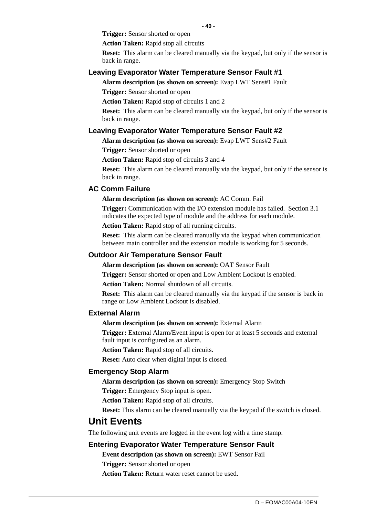**Trigger:** Sensor shorted or open

**Action Taken:** Rapid stop all circuits

**Reset:** This alarm can be cleared manually via the keypad, but only if the sensor is back in range.

#### **Leaving Evaporator Water Temperature Sensor Fault #1**

**Alarm description (as shown on screen):** Evap LWT Sens#1 Fault

**Trigger:** Sensor shorted or open

**Action Taken:** Rapid stop of circuits 1 and 2

**Reset:** This alarm can be cleared manually via the keypad, but only if the sensor is back in range.

#### **Leaving Evaporator Water Temperature Sensor Fault #2**

**Alarm description (as shown on screen):** Evap LWT Sens#2 Fault

**Trigger:** Sensor shorted or open

**Action Taken:** Rapid stop of circuits 3 and 4

**Reset:** This alarm can be cleared manually via the keypad, but only if the sensor is back in range.

#### **AC Comm Failure**

#### **Alarm description (as shown on screen):** AC Comm. Fail

**Trigger:** Communication with the I/O extension module has failed. Section 3.1 indicates the expected type of module and the address for each module.

**Action Taken:** Rapid stop of all running circuits.

**Reset:** This alarm can be cleared manually via the keypad when communication between main controller and the extension module is working for 5 seconds.

#### **Outdoor Air Temperature Sensor Fault**

**Alarm description (as shown on screen):** OAT Sensor Fault

**Trigger:** Sensor shorted or open and Low Ambient Lockout is enabled.

**Action Taken:** Normal shutdown of all circuits.

**Reset:** This alarm can be cleared manually via the keypad if the sensor is back in range or Low Ambient Lockout is disabled.

#### **External Alarm**

#### **Alarm description (as shown on screen):** External Alarm

**Trigger:** External Alarm/Event input is open for at least 5 seconds and external fault input is configured as an alarm.

**Action Taken:** Rapid stop of all circuits.

**Reset:** Auto clear when digital input is closed.

#### **Emergency Stop Alarm**

**Alarm description (as shown on screen):** Emergency Stop Switch

**Trigger:** Emergency Stop input is open.

**Action Taken:** Rapid stop of all circuits.

**Reset:** This alarm can be cleared manually via the keypad if the switch is closed.

## **Unit Events**

The following unit events are logged in the event log with a time stamp.

#### **Entering Evaporator Water Temperature Sensor Fault**

**Event description (as shown on screen):** EWT Sensor Fail

**Trigger:** Sensor shorted or open

**Action Taken:** Return water reset cannot be used.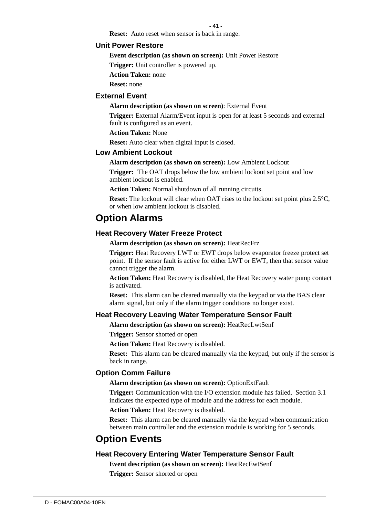**- 41 -**

**Reset:** Auto reset when sensor is back in range.

## **Unit Power Restore**

**Event description (as shown on screen):** Unit Power Restore

**Trigger:** Unit controller is powered up.

**Action Taken:** none

**Reset:** none

#### **External Event**

#### **Alarm description (as shown on screen)**: External Event

**Trigger:** External Alarm/Event input is open for at least 5 seconds and external fault is configured as an event.

**Action Taken:** None

**Reset:** Auto clear when digital input is closed.

#### **Low Ambient Lockout**

#### **Alarm description (as shown on screen):** Low Ambient Lockout

**Trigger:** The OAT drops below the low ambient lockout set point and low ambient lockout is enabled.

**Action Taken:** Normal shutdown of all running circuits.

**Reset:** The lockout will clear when OAT rises to the lockout set point plus 2.5<sup>o</sup>C, or when low ambient lockout is disabled.

## **Option Alarms**

## **Heat Recovery Water Freeze Protect**

**Alarm description (as shown on screen):** HeatRecFrz

**Trigger:** Heat Recovery LWT or EWT drops below evaporator freeze protect set point. If the sensor fault is active for either LWT or EWT, then that sensor value cannot trigger the alarm.

**Action Taken:** Heat Recovery is disabled, the Heat Recovery water pump contact is activated.

**Reset:** This alarm can be cleared manually via the keypad or via the BAS clear alarm signal, but only if the alarm trigger conditions no longer exist.

#### **Heat Recovery Leaving Water Temperature Sensor Fault**

**Alarm description (as shown on screen):** HeatRecLwtSenf

**Trigger:** Sensor shorted or open

**Action Taken:** Heat Recovery is disabled.

**Reset:** This alarm can be cleared manually via the keypad, but only if the sensor is back in range.

#### **Option Comm Failure**

**Alarm description (as shown on screen):** OptionExtFault

**Trigger:** Communication with the I/O extension module has failed. Section 3.1 indicates the expected type of module and the address for each module.

**Action Taken:** Heat Recovery is disabled.

**Reset:** This alarm can be cleared manually via the keypad when communication between main controller and the extension module is working for 5 seconds.

## **Option Events**

#### **Heat Recovery Entering Water Temperature Sensor Fault**

**Event description (as shown on screen):** HeatRecEwtSenf

**Trigger:** Sensor shorted or open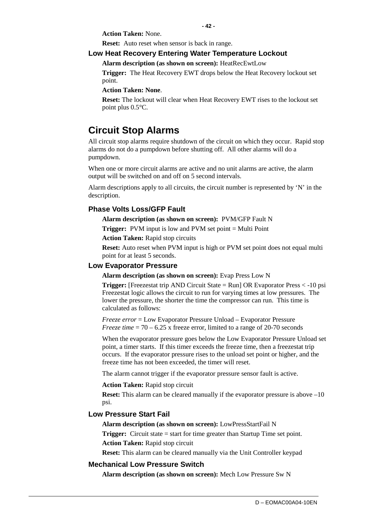**Action Taken:** None.

**Reset:** Auto reset when sensor is back in range.

## **Low Heat Recovery Entering Water Temperature Lockout**

**Alarm description (as shown on screen):** HeatRecEwtLow

**Trigger:** The Heat Recovery EWT drops below the Heat Recovery lockout set point.

**- 42 -**

**Action Taken: None**.

**Reset:** The lockout will clear when Heat Recovery EWT rises to the lockout set point plus 0.5°C.

## **Circuit Stop Alarms**

All circuit stop alarms require shutdown of the circuit on which they occur. Rapid stop alarms do not do a pumpdown before shutting off. All other alarms will do a pumpdown.

When one or more circuit alarms are active and no unit alarms are active, the alarm output will be switched on and off on 5 second intervals.

Alarm descriptions apply to all circuits, the circuit number is represented by 'N' in the description.

## **Phase Volts Loss/GFP Fault**

**Alarm description (as shown on screen):** PVM/GFP Fault N

**Trigger:** PVM input is low and PVM set point = Multi Point

**Action Taken:** Rapid stop circuits

**Reset:** Auto reset when PVM input is high or PVM set point does not equal multi point for at least 5 seconds.

## **Low Evaporator Pressure**

**Alarm description (as shown on screen):** Evap Press Low N

**Trigger:** [Freezestat trip AND Circuit State = Run] OR Evaporator Press < -10 psi Freezestat logic allows the circuit to run for varying times at low pressures. The lower the pressure, the shorter the time the compressor can run. This time is calculated as follows:

*Freeze error* = Low Evaporator Pressure Unload – Evaporator Pressure *Freeze time* = 70 – 6.25 x freeze error, limited to a range of 20-70 seconds

When the evaporator pressure goes below the Low Evaporator Pressure Unload set point, a timer starts. If this timer exceeds the freeze time, then a freezestat trip occurs. If the evaporator pressure rises to the unload set point or higher, and the freeze time has not been exceeded, the timer will reset.

The alarm cannot trigger if the evaporator pressure sensor fault is active.

**Action Taken:** Rapid stop circuit

**Reset:** This alarm can be cleared manually if the evaporator pressure is above  $-10$ psi.

## **Low Pressure Start Fail**

**Alarm description (as shown on screen):** LowPressStartFail N

**Trigger:** Circuit state = start for time greater than Startup Time set point. **Action Taken:** Rapid stop circuit

**Reset:** This alarm can be cleared manually via the Unit Controller keypad

## **Mechanical Low Pressure Switch**

**Alarm description (as shown on screen):** Mech Low Pressure Sw N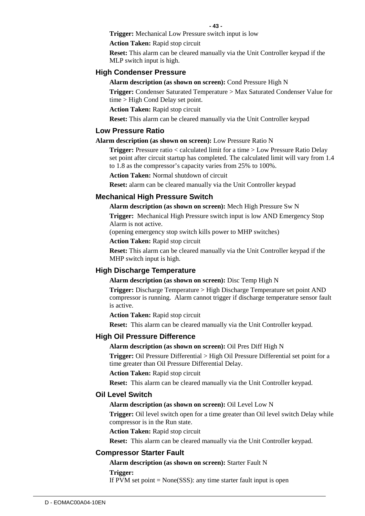**Trigger:** Mechanical Low Pressure switch input is low

**Action Taken:** Rapid stop circuit

**Reset:** This alarm can be cleared manually via the Unit Controller keypad if the MLP switch input is high.

#### **High Condenser Pressure**

**Alarm description (as shown on screen):** Cond Pressure High N

**Trigger:** Condenser Saturated Temperature > Max Saturated Condenser Value for time > High Cond Delay set point.

**Action Taken:** Rapid stop circuit

**Reset:** This alarm can be cleared manually via the Unit Controller keypad

#### **Low Pressure Ratio**

#### **Alarm description (as shown on screen):** Low Pressure Ratio N

**Trigger:** Pressure ratio < calculated limit for a time > Low Pressure Ratio Delay set point after circuit startup has completed. The calculated limit will vary from 1.4 to 1.8 as the compressor's capacity varies from 25% to 100%.

**Action Taken:** Normal shutdown of circuit

**Reset:** alarm can be cleared manually via the Unit Controller keypad

#### **Mechanical High Pressure Switch**

**Alarm description (as shown on screen):** Mech High Pressure Sw N

**Trigger:** Mechanical High Pressure switch input is low AND Emergency Stop Alarm is not active.

(opening emergency stop switch kills power to MHP switches)

**Action Taken:** Rapid stop circuit

**Reset:** This alarm can be cleared manually via the Unit Controller keypad if the MHP switch input is high.

#### **High Discharge Temperature**

**Alarm description (as shown on screen):** Disc Temp High N

**Trigger:** Discharge Temperature > High Discharge Temperature set point AND compressor is running. Alarm cannot trigger if discharge temperature sensor fault is active.

**Action Taken:** Rapid stop circuit

**Reset:** This alarm can be cleared manually via the Unit Controller keypad.

#### **High Oil Pressure Difference**

#### **Alarm description (as shown on screen):** Oil Pres Diff High N

**Trigger:** Oil Pressure Differential > High Oil Pressure Differential set point for a time greater than Oil Pressure Differential Delay.

**Action Taken:** Rapid stop circuit

**Reset:** This alarm can be cleared manually via the Unit Controller keypad.

#### **Oil Level Switch**

#### **Alarm description (as shown on screen):** Oil Level Low N

**Trigger:** Oil level switch open for a time greater than Oil level switch Delay while compressor is in the Run state.

**Action Taken:** Rapid stop circuit

**Reset:** This alarm can be cleared manually via the Unit Controller keypad.

#### **Compressor Starter Fault**

**Alarm description (as shown on screen):** Starter Fault N

**Trigger:** 

If PVM set point  $= None(SSS)$ : any time starter fault input is open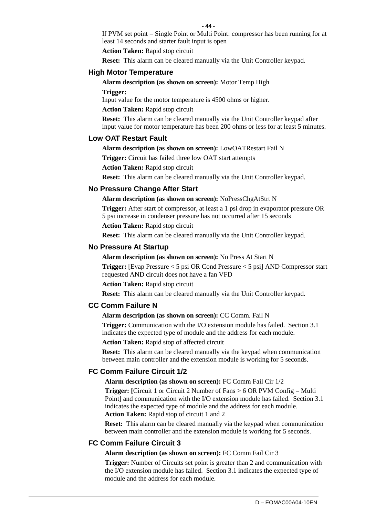If PVM set point = Single Point or Multi Point: compressor has been running for at least 14 seconds and starter fault input is open

**Action Taken:** Rapid stop circuit

**Reset:** This alarm can be cleared manually via the Unit Controller keypad.

## **High Motor Temperature**

#### **Alarm description (as shown on screen):** Motor Temp High

**Trigger:** 

Input value for the motor temperature is 4500 ohms or higher.

**Action Taken:** Rapid stop circuit

**Reset:** This alarm can be cleared manually via the Unit Controller keypad after input value for motor temperature has been 200 ohms or less for at least 5 minutes.

## **Low OAT Restart Fault**

**Alarm description (as shown on screen):** LowOATRestart Fail N

**Trigger:** Circuit has failed three low OAT start attempts

**Action Taken:** Rapid stop circuit

**Reset:** This alarm can be cleared manually via the Unit Controller keypad.

#### **No Pressure Change After Start**

**Alarm description (as shown on screen):** NoPressChgAtStrt N

**Trigger:** After start of compressor, at least a 1 psi drop in evaporator pressure OR 5 psi increase in condenser pressure has not occurred after 15 seconds

**Action Taken:** Rapid stop circuit

**Reset:** This alarm can be cleared manually via the Unit Controller keypad.

#### **No Pressure At Startup**

**Alarm description (as shown on screen):** No Press At Start N

**Trigger:** [Evap Pressure < 5 psi OR Cond Pressure < 5 psi] AND Compressor start requested AND circuit does not have a fan VFD

**Action Taken:** Rapid stop circuit

**Reset:** This alarm can be cleared manually via the Unit Controller keypad.

## **CC Comm Failure N**

#### **Alarm description (as shown on screen):** CC Comm. Fail N

**Trigger:** Communication with the I/O extension module has failed. Section 3.1 indicates the expected type of module and the address for each module.

**Action Taken:** Rapid stop of affected circuit

**Reset:** This alarm can be cleared manually via the keypad when communication between main controller and the extension module is working for 5 seconds.

## **FC Comm Failure Circuit 1/2**

**Alarm description (as shown on screen):** FC Comm Fail Cir 1/2

**Trigger:** [Circuit 1 or Circuit 2 Number of Fans > 6 OR PVM Config = Multi Point] and communication with the I/O extension module has failed. Section 3.1 indicates the expected type of module and the address for each module. **Action Taken:** Rapid stop of circuit 1 and 2

**Reset:** This alarm can be cleared manually via the keypad when communication between main controller and the extension module is working for 5 seconds.

## **FC Comm Failure Circuit 3**

#### **Alarm description (as shown on screen):** FC Comm Fail Cir 3

**Trigger:** Number of Circuits set point is greater than 2 and communication with the I/O extension module has failed. Section 3.1 indicates the expected type of module and the address for each module.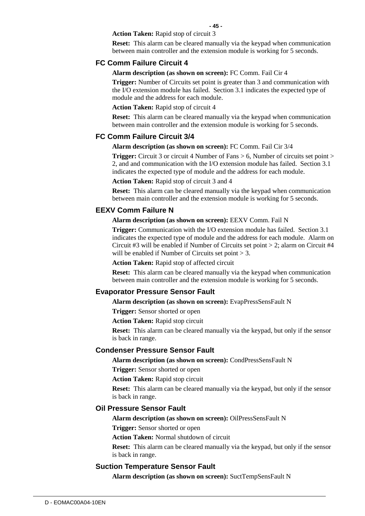**- 45 -**

**Action Taken:** Rapid stop of circuit 3

**Reset:** This alarm can be cleared manually via the keypad when communication between main controller and the extension module is working for 5 seconds.

#### **FC Comm Failure Circuit 4**

**Alarm description (as shown on screen):** FC Comm. Fail Cir 4

**Trigger:** Number of Circuits set point is greater than 3 and communication with the I/O extension module has failed. Section 3.1 indicates the expected type of module and the address for each module.

**Action Taken:** Rapid stop of circuit 4

**Reset:** This alarm can be cleared manually via the keypad when communication between main controller and the extension module is working for 5 seconds.

#### **FC Comm Failure Circuit 3/4**

**Alarm description (as shown on screen):** FC Comm. Fail Cir 3/4

**Trigger:** Circuit 3 or circuit 4 Number of Fans > 6, Number of circuits set point > 2, and and communication with the I/O extension module has failed. Section 3.1 indicates the expected type of module and the address for each module.

**Action Taken:** Rapid stop of circuit 3 and 4

**Reset:** This alarm can be cleared manually via the keypad when communication between main controller and the extension module is working for 5 seconds.

#### **EEXV Comm Failure N**

**Alarm description (as shown on screen):** EEXV Comm. Fail N

**Trigger:** Communication with the I/O extension module has failed. Section 3.1 indicates the expected type of module and the address for each module. Alarm on Circuit #3 will be enabled if Number of Circuits set point  $> 2$ ; alarm on Circuit #4 will be enabled if Number of Circuits set point  $> 3$ .

**Action Taken:** Rapid stop of affected circuit

**Reset:** This alarm can be cleared manually via the keypad when communication between main controller and the extension module is working for 5 seconds.

#### **Evaporator Pressure Sensor Fault**

**Alarm description (as shown on screen):** EvapPressSensFault N

**Trigger:** Sensor shorted or open

**Action Taken:** Rapid stop circuit

**Reset:** This alarm can be cleared manually via the keypad, but only if the sensor is back in range.

#### **Condenser Pressure Sensor Fault**

**Alarm description (as shown on screen):** CondPressSensFault N

**Trigger:** Sensor shorted or open

**Action Taken:** Rapid stop circuit

**Reset:** This alarm can be cleared manually via the keypad, but only if the sensor is back in range.

#### **Oil Pressure Sensor Fault**

**Alarm description (as shown on screen):** OilPressSensFault N

**Trigger:** Sensor shorted or open

**Action Taken:** Normal shutdown of circuit

**Reset:** This alarm can be cleared manually via the keypad, but only if the sensor is back in range.

#### **Suction Temperature Sensor Fault**

**Alarm description (as shown on screen):** SuctTempSensFault N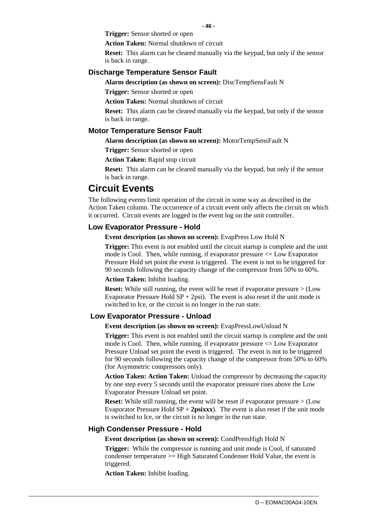**Trigger:** Sensor shorted or open

**Action Taken:** Normal shutdown of circuit

**Reset:** This alarm can be cleared manually via the keypad, but only if the sensor is back in range.

#### **Discharge Temperature Sensor Fault**

**Alarm description (as shown on screen):** DiscTempSensFault N

**Trigger:** Sensor shorted or open

**Action Taken:** Normal shutdown of circuit

**Reset:** This alarm can be cleared manually via the keypad, but only if the sensor is back in range.

#### **Motor Temperature Sensor Fault**

**Alarm description (as shown on screen):** MotorTempSensFault N

**Trigger:** Sensor shorted or open

**Action Taken:** Rapid stop circuit

**Reset:** This alarm can be cleared manually via the keypad, but only if the sensor is back in range.

## **Circuit Events**

The following events limit operation of the circuit in some way as described in the Action Taken column. The occurrence of a circuit event only affects the circuit on which it occurred. Circuit events are logged in the event log on the unit controller.

#### **Low Evaporator Pressure - Hold**

**Event description (as shown on screen):** EvapPress Low Hold N

**Trigger:** This event is not enabled until the circuit startup is complete and the unit mode is Cool. Then, while running, if evaporator pressure  $\leq$  Low Evaporator Pressure Hold set point the event is triggered. The event is not to be triggered for 90 seconds following the capacity change of the compressor from 50% to 60%.

**Action Taken:** Inhibit loading.

**Reset:** While still running, the event will be reset if evaporator pressure  $>$  (Low Evaporator Pressure Hold  $SP + 2psi$ . The event is also reset if the unit mode is switched to Ice, or the circuit is no longer in the run state.

#### **Low Evaporator Pressure - Unload**

**Event description (as shown on screen):** EvapPressLowUnload N

**Trigger:** This event is not enabled until the circuit startup is complete and the unit mode is Cool. Then, while running, if evaporator pressure  $\leq$  Low Evaporator Pressure Unload set point the event is triggered. The event is not to be triggered for 90 seconds following the capacity change of the compressor from 50% to 60% (for Asymmetric compressors only).

**Action Taken: Action Taken:** Unload the compressor by decreasing the capacity by one step every 5 seconds until the evaporator pressure rises above the Low Evaporator Pressure Unload set point.

**Reset:** While still running, the event will be reset if evaporator pressure  $>$  (Low Evaporator Pressure Hold  $SP + 2$ **psixxx**). The event is also reset if the unit mode is switched to Ice, or the circuit is no longer in the run state.

#### **High Condenser Pressure - Hold**

**Event description (as shown on screen):** CondPressHigh Hold N

**Trigger:** While the compressor is running and unit mode is Cool, if saturated condenser temperature >= High Saturated Condenser Hold Value, the event is triggered.

**Action Taken:** Inhibit loading.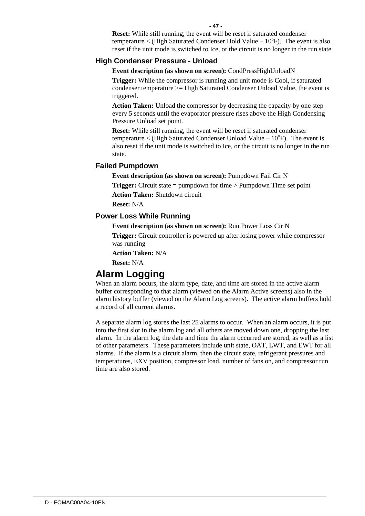**Reset:** While still running, the event will be reset if saturated condenser temperature  $\langle$  (High Saturated Condenser Hold Value – 10°F). The event is also reset if the unit mode is switched to Ice, or the circuit is no longer in the run state.

## **High Condenser Pressure - Unload**

**Event description (as shown on screen):** CondPressHighUnloadN

**Trigger:** While the compressor is running and unit mode is Cool, if saturated condenser temperature >= High Saturated Condenser Unload Value, the event is triggered.

**Action Taken:** Unload the compressor by decreasing the capacity by one step every 5 seconds until the evaporator pressure rises above the High Condensing Pressure Unload set point.

**Reset:** While still running, the event will be reset if saturated condenser temperature  $\langle$  (High Saturated Condenser Unload Value – 10°F). The event is also reset if the unit mode is switched to Ice, or the circuit is no longer in the run state.

## **Failed Pumpdown**

**Event description (as shown on screen):** Pumpdown Fail Cir N

**Trigger:** Circuit state = pumpdown for time > Pumpdown Time set point

**Action Taken:** Shutdown circuit

**Reset:** N/A

## **Power Loss While Running**

**Event description (as shown on screen):** Run Power Loss Cir N

**Trigger:** Circuit controller is powered up after losing power while compressor was running

**Action Taken:** N/A

**Reset:** N/A

## **Alarm Logging**

When an alarm occurs, the alarm type, date, and time are stored in the active alarm buffer corresponding to that alarm (viewed on the Alarm Active screens) also in the alarm history buffer (viewed on the Alarm Log screens). The active alarm buffers hold a record of all current alarms.

A separate alarm log stores the last 25 alarms to occur. When an alarm occurs, it is put into the first slot in the alarm log and all others are moved down one, dropping the last alarm. In the alarm log, the date and time the alarm occurred are stored, as well as a list of other parameters. These parameters include unit state, OAT, LWT, and EWT for all alarms. If the alarm is a circuit alarm, then the circuit state, refrigerant pressures and temperatures, EXV position, compressor load, number of fans on, and compressor run time are also stored.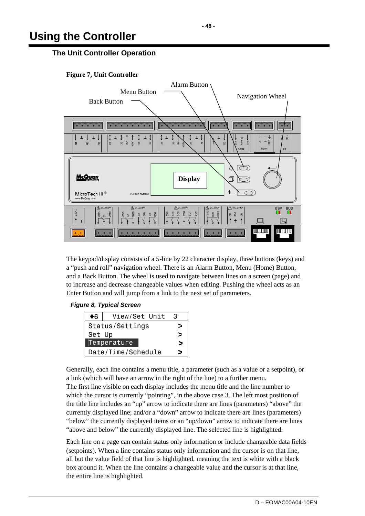# **Using the Controller**

## **The Unit Controller Operation**

**Figure 7, Unit Controller** 



The keypad/display consists of a 5-line by 22 character display, three buttons (keys) and a "push and roll" navigation wheel. There is an Alarm Button, Menu (Home) Button, and a Back Button. The wheel is used to navigate between lines on a screen (page) and to increase and decrease changeable values when editing. Pushing the wheel acts as an Enter Button and will jump from a link to the next set of parameters.

## **Figure 8, Typical Screen**

| ♦6                 | View/Set Unit | З |
|--------------------|---------------|---|
| Status/Settings    |               |   |
| Set Up             |               |   |
| Temperature        |               |   |
| Date/Time/Schedule |               |   |

Generally, each line contains a menu title, a parameter (such as a value or a setpoint), or a link (which will have an arrow in the right of the line) to a further menu.

The first line visible on each display includes the menu title and the line number to which the cursor is currently "pointing", in the above case 3. The left most position of the title line includes an "up" arrow to indicate there are lines (parameters) "above" the currently displayed line; and/or a "down" arrow to indicate there are lines (parameters) "below" the currently displayed items or an "up/down" arrow to indicate there are lines "above and below" the currently displayed line. The selected line is highlighted.

Each line on a page can contain status only information or include changeable data fields (setpoints). When a line contains status only information and the cursor is on that line, all but the value field of that line is highlighted, meaning the text is white with a black box around it. When the line contains a changeable value and the cursor is at that line, the entire line is highlighted.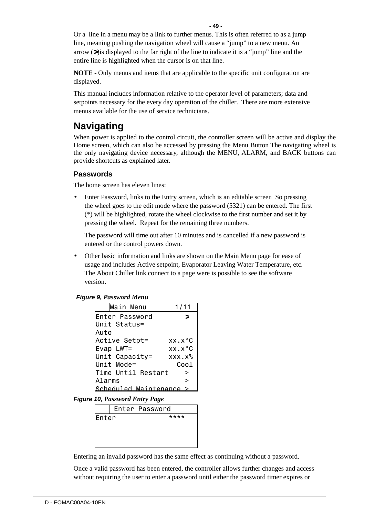Or a line in a menu may be a link to further menus. This is often referred to as a jump line, meaning pushing the navigation wheel will cause a "jump" to a new menu. An arrow (>)is displayed to the far right of the line to indicate it is a "jump" line and the entire line is highlighted when the cursor is on that line.

**NOTE** - Only menus and items that are applicable to the specific unit configuration are displayed.

This manual includes information relative to the operator level of parameters; data and setpoints necessary for the every day operation of the chiller. There are more extensive menus available for the use of service technicians.

## **Navigating**

When power is applied to the control circuit, the controller screen will be active and display the Home screen, which can also be accessed by pressing the Menu Button The navigating wheel is the only navigating device necessary, although the MENU, ALARM, and BACK buttons can provide shortcuts as explained later.

## **Passwords**

The home screen has eleven lines:

• Enter Password, links to the Entry screen, which is an editable screen So pressing the wheel goes to the edit mode where the password (5321) can be entered. The first (\*) will be highlighted, rotate the wheel clockwise to the first number and set it by pressing the wheel. Repeat for the remaining three numbers.

The password will time out after 10 minutes and is cancelled if a new password is entered or the control powers down.

• Other basic information and links are shown on the Main Menu page for ease of usage and includes Active setpoint, Evaporator Leaving Water Temperature, etc. The About Chiller link connect to a page were is possible to see the software version.

| <b>Figure 9, Password Menu</b> |  |  |  |  |
|--------------------------------|--|--|--|--|
|--------------------------------|--|--|--|--|

| Main Menu             | 1/11                |
|-----------------------|---------------------|
| Enter Password        |                     |
| Unit Status=          |                     |
| Auto                  |                     |
| Active Setpt=         | $XX.X^{\circ}C$     |
| Evap LWT=             | $XX$ . $X^{\circ}C$ |
| Unit Capacity=        | $XXX.X\%$           |
| Unit Mode=            | Coo 1               |
| Time Until Restart    | >                   |
| Alarms                | ↘                   |
| Scheduled Maintenance |                     |

**Figure 10,** *Password Entry Page* 

| Enter Password |
|----------------|
| ****           |
|                |
|                |
|                |
| lEnter         |

Entering an invalid password has the same effect as continuing without a password.

Once a valid password has been entered, the controller allows further changes and access without requiring the user to enter a password until either the password timer expires or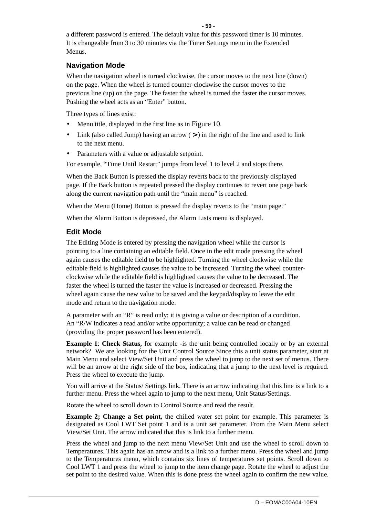a different password is entered. The default value for this password timer is 10 minutes. It is changeable from 3 to 30 minutes via the Timer Settings menu in the Extended Menus.

## **Navigation Mode**

When the navigation wheel is turned clockwise, the cursor moves to the next line (down) on the page. When the wheel is turned counter-clockwise the cursor moves to the previous line (up) on the page. The faster the wheel is turned the faster the cursor moves. Pushing the wheel acts as an "Enter" button.

Three types of lines exist:

- Menu title, displayed in the first line as in Figure 10.
- Link (also called Jump) having an arrow  $(>)$  in the right of the line and used to link to the next menu.
- Parameters with a value or adjustable setpoint.

For example, "Time Until Restart" jumps from level 1 to level 2 and stops there.

When the Back Button is pressed the display reverts back to the previously displayed page. If the Back button is repeated pressed the display continues to revert one page back along the current navigation path until the "main menu" is reached.

When the Menu (Home) Button is pressed the display reverts to the "main page."

When the Alarm Button is depressed, the Alarm Lists menu is displayed.

## **Edit Mode**

The Editing Mode is entered by pressing the navigation wheel while the cursor is pointing to a line containing an editable field. Once in the edit mode pressing the wheel again causes the editable field to be highlighted. Turning the wheel clockwise while the editable field is highlighted causes the value to be increased. Turning the wheel counterclockwise while the editable field is highlighted causes the value to be decreased. The faster the wheel is turned the faster the value is increased or decreased. Pressing the wheel again cause the new value to be saved and the keypad/display to leave the edit mode and return to the navigation mode.

A parameter with an "R" is read only; it is giving a value or description of a condition. An "R/W indicates a read and/or write opportunity; a value can be read or changed (providing the proper password has been entered).

**Example 1: Check Status,** for example - is the unit being controlled locally or by an external network? We are looking for the Unit Control Source Since this a unit status parameter, start at Main Menu and select View/Set Unit and press the wheel to jump to the next set of menus. There will be an arrow at the right side of the box, indicating that a jump to the next level is required. Press the wheel to execute the jump.

You will arrive at the Status/ Settings link. There is an arrow indicating that this line is a link to a further menu. Press the wheel again to jump to the next menu, Unit Status/Settings.

Rotate the wheel to scroll down to Control Source and read the result.

**Example 2; Change a Set point,** the chilled water set point for example. This parameter is designated as Cool LWT Set point 1 and is a unit set parameter. From the Main Menu select View/Set Unit. The arrow indicated that this is link to a further menu.

Press the wheel and jump to the next menu View/Set Unit and use the wheel to scroll down to Temperatures. This again has an arrow and is a link to a further menu. Press the wheel and jump to the Temperatures menu, which contains six lines of temperatures set points. Scroll down to Cool LWT 1 and press the wheel to jump to the item change page. Rotate the wheel to adjust the set point to the desired value. When this is done press the wheel again to confirm the new value.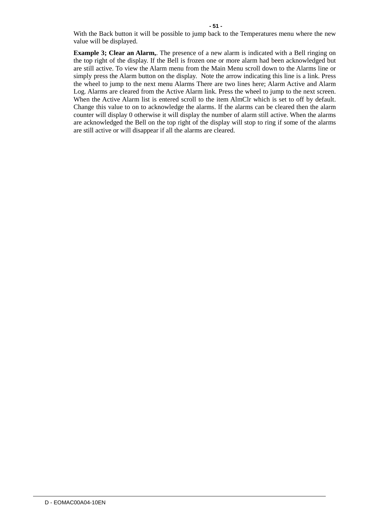With the Back button it will be possible to jump back to the Temperatures menu where the new value will be displayed.

**Example 3; Clear an Alarm,.** The presence of a new alarm is indicated with a Bell ringing on the top right of the display. If the Bell is frozen one or more alarm had been acknowledged but are still active. To view the Alarm menu from the Main Menu scroll down to the Alarms line or simply press the Alarm button on the display. Note the arrow indicating this line is a link. Press the wheel to jump to the next menu Alarms There are two lines here; Alarm Active and Alarm Log. Alarms are cleared from the Active Alarm link. Press the wheel to jump to the next screen. When the Active Alarm list is entered scroll to the item AlmClr which is set to off by default. Change this value to on to acknowledge the alarms. If the alarms can be cleared then the alarm counter will display 0 otherwise it will display the number of alarm still active. When the alarms are acknowledged the Bell on the top right of the display will stop to ring if some of the alarms are still active or will disappear if all the alarms are cleared.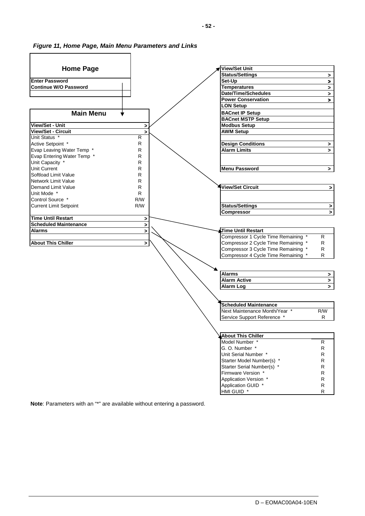#### **Figure 11, Home Page, Main Menu Parameters and Links**



**Note**: Parameters with an "\*" are available without entering a password.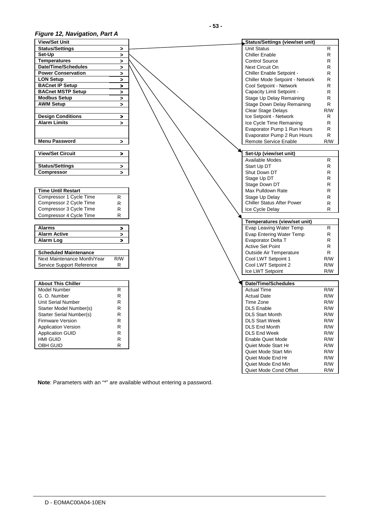## **Figure 12, Navigation, Part A**

| <b>View/Set Unit</b>            |                       | Status/Settings (view/set unit) |              |
|---------------------------------|-----------------------|---------------------------------|--------------|
| <b>Status/Settings</b>          | $\geq$                | <b>Unit Status</b>              | R            |
| Set-Up                          | $\geq$                | <b>Chiller Enable</b>           | R            |
| <b>Temperatures</b>             | $\geq$                | <b>Control Source</b>           | ${\sf R}$    |
| <b>Date/Time/Schedules</b>      | $\geq$                | Next Circuit On                 | R            |
| <b>Power Conservation</b>       | >                     | Chiller Enable Setpoint -       | R            |
| <b>LON Setup</b>                | $\geq$                | Chiller Mode Setpoint - Network | R            |
| <b>BACnet IP Setup</b>          |                       | Cool Setpoint - Network         | R            |
| <b>BACnet MSTP Setup</b>        | >                     | Capacity Limit Setpoint -       | R            |
|                                 | $\geq$                |                                 | R            |
| <b>Modbus Setup</b>             | $\blacktriangleright$ | Stage Up Delay Remaining        |              |
| <b>AWM Setup</b>                | $\geq$                | Stage Down Delay Remaining      | R            |
|                                 |                       | Clear Stage Delays              | R/W          |
| <b>Design Conditions</b>        | >                     | Ice Setpoint - Network          | R            |
| <b>Alarm Limits</b>             | ⋗                     | Ice Cycle Time Remaining        | R            |
|                                 |                       | Evaporator Pump 1 Run Hours     | R            |
|                                 |                       | Evaporator Pump 2 Run Hours     | R            |
| <b>Menu Password</b>            | >                     | Remote Service Enable           | R/W          |
|                                 |                       |                                 |              |
| <b>View/Set Circuit</b>         | ⋗                     | Set-Up (view/set unit)          |              |
|                                 |                       | Available Modes                 | R            |
| <b>Status/Settings</b>          | $\, >$                | Start Up DT                     | $\mathsf{R}$ |
| <b>Compressor</b>               | $\geq$                | Shut Down DT                    | R            |
|                                 |                       | Stage Up DT                     | R            |
|                                 |                       | Stage Down DT                   | R            |
| <b>Time Until Restart</b>       |                       | Max Pulldown Rate               | R            |
| Compressor 1 Cycle Time         | R                     | Stage Up Delay                  | R            |
| Compressor 2 Cycle Time         | R.                    | Chiller Status After Power      | $\mathsf{R}$ |
| Compressor 3 Cycle Time         | R                     | Ice Cycle Delay                 | R            |
| Compressor 4 Cycle Time         | R.                    |                                 |              |
|                                 |                       | Temperatures (view/set unit)    |              |
| <b>Alarms</b>                   | >                     | Evap Leaving Water Temp         | R            |
| <b>Alarm Active</b>             | $\,>\,$               | Evap Entering Water Temp        | R            |
| <b>Alarm Log</b>                |                       | Evaporator Delta T              | R            |
|                                 |                       | <b>Active Set Point</b>         | $\mathsf{R}$ |
| <b>Scheduled Maintenance</b>    |                       | <b>Outside Air Temperature</b>  | R            |
| Next Maintenance Month/Year     | R/W                   | Cool LWT Setpoint 1             | R/W          |
| Service Support Reference       | R.                    | Cool LWT Setpoint 2             | R/W          |
|                                 |                       | Ice LWT Setpoint                | R/W          |
|                                 |                       |                                 |              |
| <b>About This Chiller</b>       |                       | Date/Time/Schedules             |              |
| <b>Model Number</b>             | R.                    | <b>Actual Time</b>              | R/W          |
| G. O. Number                    | R                     | <b>Actual Date</b>              | R/W          |
| <b>Unit Serial Number</b>       | $\mathsf{R}$          | Time Zone                       | R/W          |
| Starter Model Number(s)         | R                     | <b>DLS Enable</b>               | R/W          |
|                                 |                       |                                 | R/W          |
| <b>Starter Serial Number(s)</b> | ${\sf R}$             | <b>DLS Start Month</b>          |              |
| <b>Firmware Version</b>         | R                     | <b>DLS Start Week</b>           | R/W          |
| <b>Application Version</b>      | R                     | <b>DLS End Month</b>            | R/W          |
| <b>Application GUID</b>         | R                     | <b>DLS End Week</b>             | R/W          |
| <b>HMI GUID</b>                 | R                     | <b>Enable Quiet Mode</b>        | R/W          |
| OBH GUID                        | R.                    | Quiet Mode Start Hr             | R/W          |
|                                 |                       | Quiet Mode Start Min            | R/W          |
|                                 |                       | Quiet Mode End Hr               | R/W          |
|                                 |                       | Quiet Mode End Min              | R/W          |
|                                 |                       | Quiet Mode Cond Offset          | R/W          |

**Note**: Parameters with an "\*" are available without entering a password.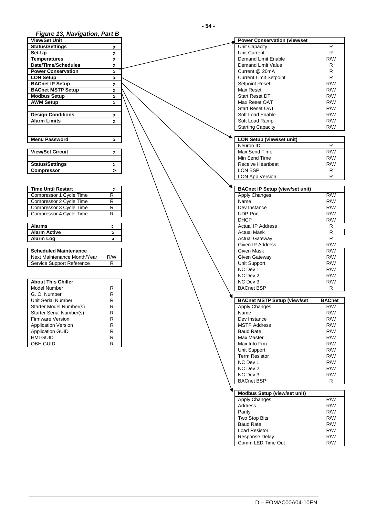## **Figure 13, Navigation, Part B**

| .<br>. <del>.</del> .     |              |
|---------------------------|--------------|
| <b>View/Set Unit</b>      |              |
| <b>Status/Settings</b>    | $\geq$       |
| Set-Up                    | >            |
| <b>Temperatures</b>       | ×            |
| Date/Time/Schedules       | ⋗            |
| <b>Power Conservation</b> | $\mathbf{r}$ |
| <b>LON Setup</b>          | $\,>\,$      |
| <b>BACnet IP Setup</b>    | $\geq$       |
| <b>BACnet MSTP Setup</b>  | $\geq$       |
| <b>Modbus Setup</b>       | ×            |
| <b>AWM Setup</b>          | ⋗            |
|                           |              |
| <b>Design Conditions</b>  | >            |
| <b>Alarm Limits</b>       | ⋗            |
|                           |              |
|                           |              |
| <b>Menu Password</b>      | >            |
|                           |              |
| <b>View/Set Circuit</b>   | >            |
|                           |              |
| <b>Status/Settings</b>    | >            |
| Compressor                | >            |
|                           |              |

| <b>Time Until Restart</b> |   |
|---------------------------|---|
| Compressor 1 Cycle Time   | R |
| Compressor 2 Cycle Time   | R |
| Compressor 3 Cycle Time   | R |
| Compressor 4 Cycle Time   |   |

| <b>Alarms</b>       |  |
|---------------------|--|
| <b>Alarm Active</b> |  |
| Alarm Log           |  |

| <b>Scheduled Maintenance</b> |     |
|------------------------------|-----|
| Next Maintenance Month/Year  | R/W |
| Service Support Reference    | R   |

| <b>About This Chiller</b>  |   |
|----------------------------|---|
| Model Number               | R |
| G. O. Number               | R |
| Unit Serial Number         | R |
| Starter Model Number(s)    | R |
| Starter Serial Number(s)   | R |
| <b>Firmware Version</b>    | R |
| <b>Application Version</b> | R |
| <b>Application GUID</b>    | R |
| HMI GUID                   | R |
| OBH GUID                   | R |

| Figure 13, Navigation, Part B |                |                                        |               |
|-------------------------------|----------------|----------------------------------------|---------------|
| <b>View/Set Unit</b>          |                | <b>Power Conservation (view/set</b>    |               |
| <b>Status/Settings</b>        | >              | Unit Capacity                          | R             |
| Set-Up                        | >              | Unit Current                           | R             |
| <b>Temperatures</b>           | ⋗              | Demand Limit Enable                    | R/W           |
| Date/Time/Schedules           | $\geq$         | Demand Limit Value                     | R             |
| <b>Power Conservation</b>     | $\geq$         | Current @ 20mA                         | R             |
| LON Setup                     | ⋗              | <b>Current Limit Setpoint</b>          | R             |
| <b>BACnet IP Setup</b>        |                | <b>Setpoint Reset</b>                  | R/W           |
| <b>BACnet MSTP Setup</b>      | >              | Max Reset                              | R/W           |
| <b>Modbus Setup</b>           | $\,>\,$        | <b>Start Reset DT</b>                  |               |
|                               | ⋗              |                                        | R/W           |
| <b>AWM Setup</b>              | $\geq$         | Max Reset OAT                          | R/W           |
|                               |                | <b>Start Reset OAT</b>                 | R/W           |
| <b>Design Conditions</b>      | >              | Soft Load Enable                       | R/W           |
| <b>Alarm Limits</b>           | $\geq$         | Soft Load Ramp                         | R/W           |
|                               |                | <b>Starting Capacity</b>               | R/W           |
|                               |                |                                        |               |
| <b>Menu Password</b>          | >              | <b>LON Setup (view/set unit)</b>       |               |
|                               |                | Neuron ID                              | R             |
| <b>View/Set Circuit</b>       | >              | Max Send Time                          | R/W           |
|                               |                | Min Send Time                          | R/W           |
| <b>Status/Settings</b>        | >              | Receive Heartbeat                      | R/W           |
| <b>Compressor</b>             | >              | LON BSP                                | R             |
|                               |                | <b>LON App Version</b>                 | R             |
|                               |                |                                        |               |
| <b>Time Until Restart</b>     | $\,>\,$        | <b>BACnet IP Setup (view/set unit)</b> |               |
| Compressor 1 Cycle Time       | R              | <b>Apply Changes</b>                   | R/W           |
| Compressor 2 Cycle Time       | R              | Name                                   | R/W           |
| Compressor 3 Cycle Time       | $\overline{R}$ | Dev Instance                           | R/W           |
| Compressor 4 Cycle Time       | $\mathsf{R}$   | <b>UDP Port</b>                        | R/W           |
|                               |                | <b>DHCP</b>                            | R/W           |
| <b>Alarms</b>                 | >              | <b>Actual IP Address</b>               | R             |
| <b>Alarm Active</b>           | >              | <b>Actual Mask</b>                     | R             |
| Alarm Log                     | $\geq$         | <b>Actual Gateway</b>                  | R             |
|                               |                | Given IP Address                       | R/W           |
| <b>Scheduled Maintenance</b>  |                | Given Mask                             | R/W           |
|                               |                |                                        |               |
| Next Maintenance Month/Year   | R/W            | Given Gateway                          | R/W           |
| Service Support Reference     | R              | Unit Support                           | R/W           |
|                               |                | NC Dev 1                               | R/W           |
|                               |                | NC Dev 2                               | R/W           |
| <b>About This Chiller</b>     |                | NC Dev 3                               | R/W           |
| <b>Model Number</b>           | R              | <b>BACnet BSP</b>                      | R             |
| G. O. Number                  | $\mathsf{R}$   |                                        |               |
| Unit Serial Number            | R              | <b>BACnet MSTP Setup (view/set</b>     | <b>BACnet</b> |
| Starter Model Number(s)       | R              | Apply Changes                          | R/W           |
| Starter Serial Number(s)      | R              | Name                                   | R/W           |
| <b>Firmware Version</b>       | R              | Dev Instance                           | R/W           |
| <b>Application Version</b>    | R              | <b>MSTP Address</b>                    | R/W           |
| <b>Application GUID</b>       | R              | <b>Baud Rate</b>                       | R/W           |
| HMI GUID                      | R              | Max Master                             | R/W           |
| OBH GUID                      | R              | Max Info Frm                           | R/W           |
|                               |                | Unit Support                           | R/W           |
|                               |                | <b>Term Resistor</b>                   | R/W           |
|                               |                | NC Dev 1                               | R/W           |
|                               |                | NC Dev 2                               | R/W           |
|                               |                | NC Dev 3                               | R/W           |
|                               |                | <b>BACnet BSP</b>                      | R             |
|                               |                |                                        |               |
|                               |                |                                        |               |
|                               |                | Modbus Setup (view/set unit)           |               |
|                               |                | <b>Apply Changes</b>                   | R/W           |
|                               |                | Address                                | R/W           |

 Parity R/W Two Stop Bits R/W **Baud Rate** R/W **R/W**  Load Resistor R/W Response Delay R/W **Comm LED Time Out GALLACE ACCESS R/W**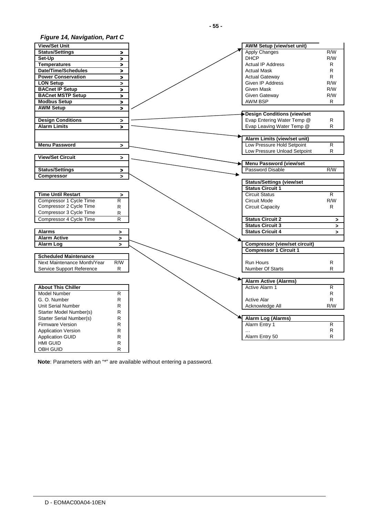## **Figure 14, Navigation, Part C**

| <b>View/Set Unit</b>            |                       | <b>AWM Setup (view/set unit)</b>     |                |
|---------------------------------|-----------------------|--------------------------------------|----------------|
| <b>Status/Settings</b>          | $\geq$                | <b>Apply Changes</b>                 | R/W            |
| Set-Up                          | $\geq$                | <b>DHCP</b>                          | R/W            |
| <b>Temperatures</b>             | $\geq$                | <b>Actual IP Address</b>             | R.             |
| Date/Time/Schedules             | $\qquad \qquad$       | <b>Actual Mask</b>                   | R              |
| <b>Power Conservation</b>       | $\geq$                | <b>Actual Gateway</b>                | R.             |
| <b>LON Setup</b>                | $\geq$                | <b>Given IP Address</b>              | R/W            |
| <b>BACnet IP Setup</b>          | $\geq$                | Given Mask                           | R/W            |
| <b>BACnet MSTP Setup</b>        | $\qquad \qquad$       | Given Gateway                        | R/W            |
| <b>Modbus Setup</b>             | $\qquad \qquad$       | AWM BSP                              | R.             |
| <b>AWM Setup</b>                | $\geq$                |                                      |                |
|                                 |                       | <b>Design Conditions (view/set</b>   |                |
| <b>Design Conditions</b>        | $\,>\,$               | Evap Entering Water Temp @           | R              |
| <b>Alarm Limits</b>             | $\geq$                | Evap Leaving Water Temp @            | R              |
|                                 |                       |                                      |                |
|                                 |                       | Alarm Limits (view/set unit)         |                |
| <b>Menu Password</b>            | $\geq$                | Low Pressure Hold Setpoint           | R              |
|                                 |                       | Low Pressure Unload Setpoint         | R              |
| <b>View/Set Circuit</b>         | $\geq$                |                                      |                |
|                                 |                       | <b>Menu Password (view/set</b>       |                |
| <b>Status/Settings</b>          | $\geq$                | Password Disable                     | R/W            |
| <b>Compressor</b>               | Ы                     |                                      |                |
|                                 |                       | <b>Status/Settings (view/set</b>     |                |
|                                 |                       | <b>Status Circuit 1</b>              |                |
| <b>Time Until Restart</b>       | $\geq$                | <b>Circuit Status</b>                | $\overline{R}$ |
| Compressor 1 Cycle Time         | R                     | <b>Circuit Mode</b>                  | R/W            |
| Compressor 2 Cycle Time         | R                     | Circuit Capacity                     | R.             |
| Compressor 3 Cycle Time         | ${\sf R}$             |                                      |                |
| Compressor 4 Cycle Time         | R                     | <b>Status Circuit 2</b>              | $\geq$         |
|                                 |                       | <b>Status Circuit 3</b>              | $\geq$         |
| <b>Alarms</b>                   | $\geq$                | <b>Status Cricuit 4</b>              | $\geq$         |
| <b>Alarm Active</b>             | $\blacktriangleright$ |                                      |                |
| Alarm Log                       | $\blacktriangleright$ | <b>Compressor (view/set circuit)</b> |                |
|                                 |                       | <b>Compressor 1 Circuit 1</b>        |                |
| <b>Scheduled Maintenance</b>    |                       |                                      |                |
| Next Maintenance Month/Year     | R/W                   | <b>Run Hours</b>                     | R              |
| Service Support Reference       | R.                    | Number Of Starts                     | R              |
|                                 |                       |                                      |                |
|                                 |                       | <b>Alarm Active (Alarms)</b>         |                |
| <b>About This Chiller</b>       |                       | Active Alarm 1                       | R              |
| <b>Model Number</b>             | R.                    |                                      | R              |
| G. O. Number                    | R                     | <b>Active Alar</b>                   | R              |
| Unit Serial Number              | R                     | Acknowledge All                      | R/W            |
| Starter Model Number(s)         | R                     |                                      |                |
| <b>Starter Serial Number(s)</b> | R                     | Alarm Log (Alarms)                   |                |
| <b>Firmware Version</b>         | R                     | Alarm Entry 1                        | R              |
| <b>Application Version</b>      | R                     |                                      | R              |
| <b>Application GUID</b>         | R                     | Alarm Entry 50                       | R              |
| <b>HMI GUID</b>                 | R                     |                                      |                |
| <b>OBH GUID</b>                 | R                     |                                      |                |
|                                 |                       |                                      |                |

**Note**: Parameters with an "\*" are available without entering a password.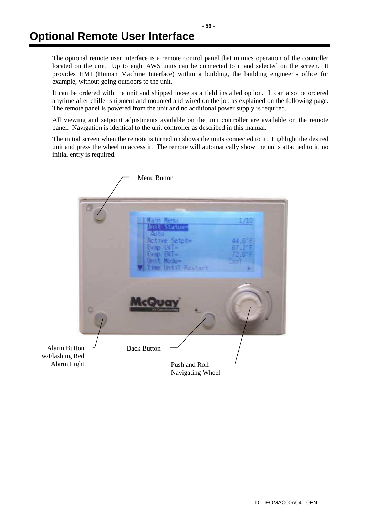The optional remote user interface is a remote control panel that mimics operation of the controller located on the unit. Up to eight AWS units can be connected to it and selected on the screen. It provides HMI (Human Machine Interface) within a building, the building engineer's office for example, without going outdoors to the unit.

It can be ordered with the unit and shipped loose as a field installed option. It can also be ordered anytime after chiller shipment and mounted and wired on the job as explained on the following page. The remote panel is powered from the unit and no additional power supply is required.

All viewing and setpoint adjustments available on the unit controller are available on the remote panel. Navigation is identical to the unit controller as described in this manual.

The initial screen when the remote is turned on shows the units connected to it. Highlight the desired unit and press the wheel to access it. The remote will automatically show the units attached to it, no initial entry is required.

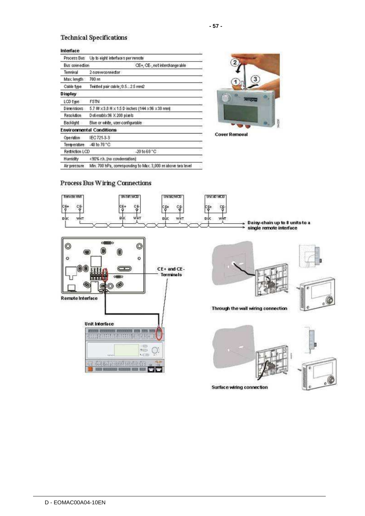## **Technical Specifications**

#### Interface

| нкспасс           |                                                              |
|-------------------|--------------------------------------------------------------|
| Process Bus       | Up to eight interfaces per remote                            |
| Bus connection    | CE+, CE-, not interchange able                               |
| Terminal          | 2-screwconnector                                             |
| Max length        | 700 m                                                        |
| Cable type.       | Turisted pair cable; 0.52.5 mm2                              |
| Display           |                                                              |
| LCD type          | <b>FSTN</b>                                                  |
| <b>Dimensions</b> | 5.7 W x 3.8 H x 1.5 D inches (144 x 96 x 38 mm)              |
| Resolution        | Det-matrix 96 X 208 pixels                                   |
| Backlight         | Blue or white, user-configurable                             |
|                   | Environmental Conditions                                     |
| Operation         | IEC 721-3-3                                                  |
| Temperature       | -40 to 70 °C                                                 |
| Restriction LCD   | $-20$ to $60^{\circ}$ C                                      |
| Humidity          | <90% r.h. Ino condensation)                                  |
| Air pressure      | Min. 700 hPa, corresponding to Max. 3,000 m above sea level. |



**Cover Removal** 

Surface wiring connection

## Process Bus Wiring Connections

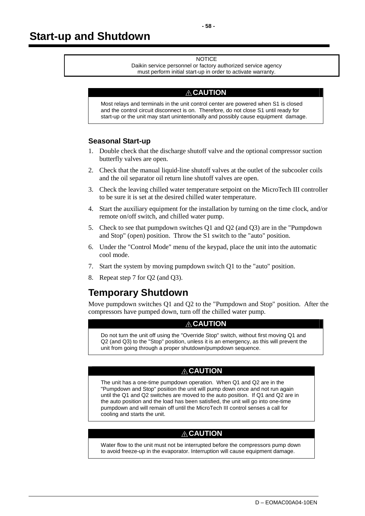#### **NOTICE**

Daikin service personnel or factory authorized service agency must perform initial start-up in order to activate warranty.

## **! CAUTION**

Most relays and terminals in the unit control center are powered when S1 is closed and the control circuit disconnect is on. Therefore, do not close S1 until ready for start-up or the unit may start unintentionally and possibly cause equipment damage.

#### **Seasonal Start-up**

- 1. Double check that the discharge shutoff valve and the optional compressor suction butterfly valves are open.
- 2. Check that the manual liquid-line shutoff valves at the outlet of the subcooler coils and the oil separator oil return line shutoff valves are open.
- 3. Check the leaving chilled water temperature setpoint on the MicroTech III controller to be sure it is set at the desired chilled water temperature.
- 4. Start the auxiliary equipment for the installation by turning on the time clock, and/or remote on/off switch, and chilled water pump.
- 5. Check to see that pumpdown switches Q1 and Q2 (and Q3) are in the "Pumpdown and Stop" (open) position. Throw the S1 switch to the "auto" position.
- 6. Under the "Control Mode" menu of the keypad, place the unit into the automatic cool mode.
- 7. Start the system by moving pumpdown switch Q1 to the "auto" position.
- 8. Repeat step 7 for Q2 (and Q3).

## **Temporary Shutdown**

Move pumpdown switches Q1 and Q2 to the "Pumpdown and Stop" position. After the compressors have pumped down, turn off the chilled water pump.

## **! CAUTION**

Do not turn the unit off using the "Override Stop" switch, without first moving Q1 and Q2 (and Q3) to the "Stop" position, unless it is an emergency, as this will prevent the unit from going through a proper shutdown/pumpdown sequence.

## **! CAUTION**

The unit has a one-time pumpdown operation. When Q1 and Q2 are in the "Pumpdown and Stop" position the unit will pump down once and not run again until the Q1 and Q2 switches are moved to the auto position. If Q1 and Q2 are in the auto position and the load has been satisfied, the unit will go into one-time pumpdown and will remain off until the MicroTech III control senses a call for cooling and starts the unit.

## **! CAUTION**

Water flow to the unit must not be interrupted before the compressors pump down to avoid freeze-up in the evaporator. Interruption will cause equipment damage.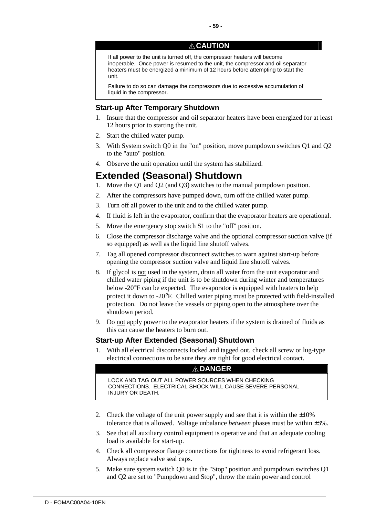## **! CAUTION**

If all power to the unit is turned off, the compressor heaters will become inoperable. Once power is resumed to the unit, the compressor and oil separator heaters must be energized a minimum of 12 hours before attempting to start the unit.

Failure to do so can damage the compressors due to excessive accumulation of liquid in the compressor.

## **Start-up After Temporary Shutdown**

- 1. Insure that the compressor and oil separator heaters have been energized for at least 12 hours prior to starting the unit.
- 2. Start the chilled water pump.
- 3. With System switch Q0 in the "on" position, move pumpdown switches Q1 and Q2 to the "auto" position.
- 4. Observe the unit operation until the system has stabilized.

## **Extended (Seasonal) Shutdown**

- 1. Move the Q1 and Q2 (and Q3) switches to the manual pumpdown position.
- 2. After the compressors have pumped down, turn off the chilled water pump.
- 3. Turn off all power to the unit and to the chilled water pump.
- 4. If fluid is left in the evaporator, confirm that the evaporator heaters are operational.
- 5. Move the emergency stop switch S1 to the "off" position.
- 6. Close the compressor discharge valve and the optional compressor suction valve (if so equipped) as well as the liquid line shutoff valves.
- 7. Tag all opened compressor disconnect switches to warn against start-up before opening the compressor suction valve and liquid line shutoff valves.
- 8. If glycol is not used in the system, drain all water from the unit evaporator and chilled water piping if the unit is to be shutdown during winter and temperatures below -20°F can be expected. The evaporator is equipped with heaters to help protect it down to -20°F. Chilled water piping must be protected with field-installed protection. Do not leave the vessels or piping open to the atmosphere over the shutdown period.
- 9. Do not apply power to the evaporator heaters if the system is drained of fluids as this can cause the heaters to burn out.

## **Start-up After Extended (Seasonal) Shutdown**

1. With all electrical disconnects locked and tagged out, check all screw or lug-type electrical connections to be sure they are tight for good electrical contact.

## **! DANGER**

LOCK AND TAG OUT ALL POWER SOURCES WHEN CHECKING CONNECTIONS. ELECTRICAL SHOCK WILL CAUSE SEVERE PERSONAL INJURY OR DEATH.

- 2. Check the voltage of the unit power supply and see that it is within the  $\pm 10\%$ tolerance that is allowed. Voltage unbalance *between* phases must be within ±3%.
- 3. See that all auxiliary control equipment is operative and that an adequate cooling load is available for start-up.
- 4. Check all compressor flange connections for tightness to avoid refrigerant loss. Always replace valve seal caps.
- 5. Make sure system switch Q0 is in the "Stop" position and pumpdown switches Q1 and Q2 are set to "Pumpdown and Stop", throw the main power and control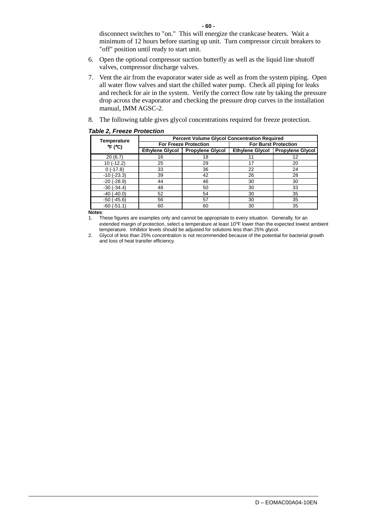disconnect switches to "on." This will energize the crankcase heaters. Wait a minimum of 12 hours before starting up unit. Turn compressor circuit breakers to "off" position until ready to start unit.

- 6. Open the optional compressor suction butterfly as well as the liquid line shutoff valves, compressor discharge valves.
- 7. Vent the air from the evaporator water side as well as from the system piping. Open all water flow valves and start the chilled water pump. Check all piping for leaks and recheck for air in the system. Verify the correct flow rate by taking the pressure drop across the evaporator and checking the pressure drop curves in the installation manual, IMM AGSC-2.
- 8. The following table gives glycol concentrations required for freeze protection.

#### **Table 2, Freeze Protection**

| <b>Temperature</b>             | <b>Percent Volume Glycol Concentration Required</b> |                              |    |                                    |  |
|--------------------------------|-----------------------------------------------------|------------------------------|----|------------------------------------|--|
| $\mathrm{P}F$ ( $\mathrm{C}$ ) |                                                     | <b>For Freeze Protection</b> |    | <b>For Burst Protection</b>        |  |
|                                | Ethylene Glycol                                     | <b>Propylene Glycol</b>      |    | Ethylene Glycol   Propylene Glycol |  |
| 20(6.7)                        | 16                                                  | 18                           |    | 12                                 |  |
| $10(-12.2)$                    | 25                                                  | 29                           | 17 | 20                                 |  |
| 0(.17.8)                       | 33                                                  | 36                           | 22 | 24                                 |  |
| $-10$ $(-23.3)$                | 39                                                  | 42                           | 26 | 28                                 |  |
| $-20$ $(-28.9)$                | 44                                                  | 46                           | 30 | 30                                 |  |
| $-30(-34.4)$                   | 48                                                  | 50                           | 30 | 33                                 |  |
| $-40$ $(-40.0)$                | 52                                                  | 54                           | 30 | 35                                 |  |
| $-50$ ( $-45.6$ )              | 56                                                  | 57                           | 30 | 35                                 |  |
| $-60(-51.1)$                   | 60                                                  | 60                           | 30 | 35                                 |  |

**Notes**:

1. These figures are examples only and cannot be appropriate to every situation. Generally, for an extended margin of protection, select a temperature at least 10°F lower than the expected lowest ambient temperature. Inhibitor levels should be adjusted for solutions less than 25% glycol.

2. Glycol of less than 25% concentration is not recommended because of the potential for bacterial growth and loss of heat transfer efficiency.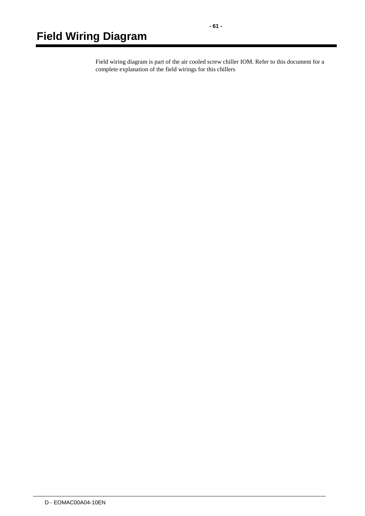Field wiring diagram is part of the air cooled screw chiller IOM. Refer to this document for a complete explanation of the field wirings for this chillers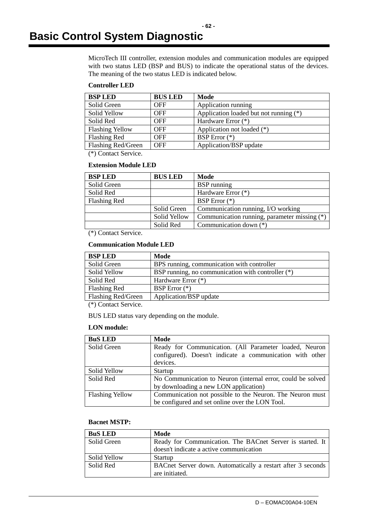# **Basic Control System Diagnostic**

MicroTech III controller, extension modules and communication modules are equipped with two status LED (BSP and BUS) to indicate the operational status of the devices. The meaning of the two status LED is indicated below.

## **Controller LED**

| <b>BSP LED</b>         | <b>BUS LED</b> | Mode                                   |
|------------------------|----------------|----------------------------------------|
| Solid Green            | <b>OFF</b>     | Application running                    |
| Solid Yellow           | <b>OFF</b>     | Application loaded but not running (*) |
| Solid Red              | <b>OFF</b>     | Hardware Error $(*)$                   |
| <b>Flashing Yellow</b> | <b>OFF</b>     | Application not loaded (*)             |
| Flashing Red           | <b>OFF</b>     | BSP Error $(*)$                        |
| Flashing Red/Green     | <b>OFF</b>     | Application/BSP update                 |

(\*) Contact Service.

#### **Extension Module LED**

| <b>BSP LED</b>      | <b>BUS LED</b> | Mode                                         |
|---------------------|----------------|----------------------------------------------|
| Solid Green         |                | <b>BSP</b> running                           |
| Solid Red           |                | Hardware Error (*)                           |
| <b>Flashing Red</b> |                | BSP Error (*)                                |
|                     | Solid Green    | Communication running, I/O working           |
|                     | Solid Yellow   | Communication running, parameter missing (*) |
|                     | Solid Red      | Communication down $(*)$                     |

(\*) Contact Service.

#### **Communication Module LED**

| <b>BSP LED</b>      | Mode                                              |
|---------------------|---------------------------------------------------|
| Solid Green         | BPS running, communication with controller        |
| <b>Solid Yellow</b> | BSP running, no communication with controller (*) |
| Solid Red           | Hardware Error $(*)$                              |
| <b>Flashing Red</b> | BSP Error $(*)$                                   |
| Flashing Red/Green  | Application/BSP update                            |

(\*) Contact Service.

BUS LED status vary depending on the module.

## **LON module:**

| <b>BuS LED</b>         | Mode                                                        |  |
|------------------------|-------------------------------------------------------------|--|
| Solid Green            | Ready for Communication. (All Parameter loaded, Neuron      |  |
|                        | configured). Doesn't indicate a communication with other    |  |
|                        | devices.                                                    |  |
| Solid Yellow           | Startup                                                     |  |
| Solid Red              | No Communication to Neuron (internal error, could be solved |  |
|                        | by downloading a new LON application)                       |  |
| <b>Flashing Yellow</b> | Communication not possible to the Neuron. The Neuron must   |  |
|                        | be configured and set online over the LON Tool.             |  |

#### **Bacnet MSTP:**

| <b>BuS LED</b> | Mode                                                        |
|----------------|-------------------------------------------------------------|
| Solid Green    | Ready for Communication. The BACnet Server is started. It   |
|                | doesn't indicate a active communication                     |
| Solid Yellow   | Startup                                                     |
| Solid Red      | BACnet Server down. Automatically a restart after 3 seconds |
|                | are initiated.                                              |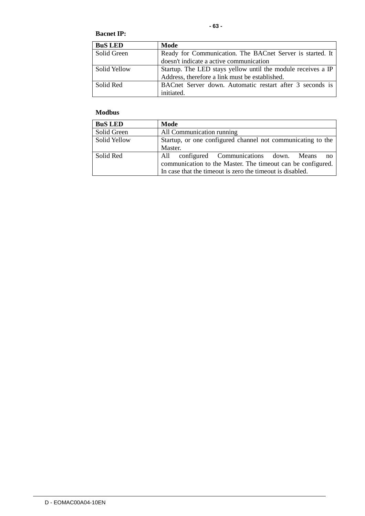#### **Bacnet IP:**

| <b>BuS LED</b> | Mode                                                         |
|----------------|--------------------------------------------------------------|
| Solid Green    | Ready for Communication. The BACnet Server is started. It    |
|                | doesn't indicate a active communication                      |
| Solid Yellow   | Startup. The LED stays yellow until the module receives a IP |
|                | Address, therefore a link must be established.               |
| Solid Red      | BACnet Server down. Automatic restart after 3 seconds is     |
|                | initiated.                                                   |

## **Modbus**

| <b>BuS LED</b> | Mode                                                                                                                                                                             |
|----------------|----------------------------------------------------------------------------------------------------------------------------------------------------------------------------------|
| Solid Green    | All Communication running                                                                                                                                                        |
| Solid Yellow   | Startup, or one configured channel not communicating to the<br>Master.                                                                                                           |
| Solid Red      | configured Communications down. Means<br>All<br>- no<br>communication to the Master. The timeout can be configured.<br>In case that the timeout is zero the timeout is disabled. |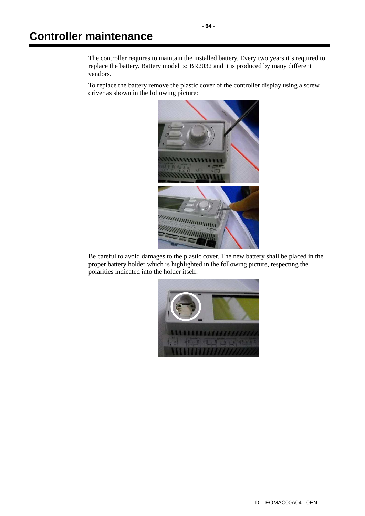The controller requires to maintain the installed battery. Every two years it's required to replace the battery. Battery model is: BR2032 and it is produced by many different vendors.

To replace the battery remove the plastic cover of the controller display using a screw driver as shown in the following picture:



Be careful to avoid damages to the plastic cover. The new battery shall be placed in the proper battery holder which is highlighted in the following picture, respecting the polarities indicated into the holder itself.

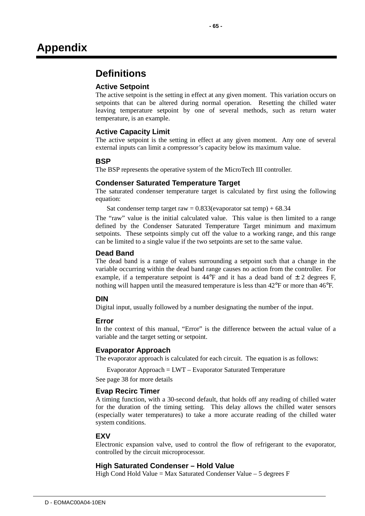## **Definitions**

## **Active Setpoint**

The active setpoint is the setting in effect at any given moment. This variation occurs on setpoints that can be altered during normal operation. Resetting the chilled water leaving temperature setpoint by one of several methods, such as return water temperature, is an example.

## **Active Capacity Limit**

The active setpoint is the setting in effect at any given moment. Any one of several external inputs can limit a compressor's capacity below its maximum value.

## **BSP**

The BSP represents the operative system of the MicroTech III controller.

#### **Condenser Saturated Temperature Target**

The saturated condenser temperature target is calculated by first using the following equation:

Sat condenser temp target raw =  $0.833$ (evaporator sat temp) +  $68.34$ 

The "raw" value is the initial calculated value. This value is then limited to a range defined by the Condenser Saturated Temperature Target minimum and maximum setpoints. These setpoints simply cut off the value to a working range, and this range can be limited to a single value if the two setpoints are set to the same value.

## **Dead Band**

The dead band is a range of values surrounding a setpoint such that a change in the variable occurring within the dead band range causes no action from the controller. For example, if a temperature setpoint is  $44^{\circ}F$  and it has a dead band of  $\pm$  2 degrees F, nothing will happen until the measured temperature is less than  $42^{\circ}$ F or more than  $46^{\circ}$ F.

## **DIN**

Digital input, usually followed by a number designating the number of the input.

## **Error**

In the context of this manual, "Error" is the difference between the actual value of a variable and the target setting or setpoint.

#### **Evaporator Approach**

The evaporator approach is calculated for each circuit. The equation is as follows:

Evaporator Approach = LWT – Evaporator Saturated Temperature

See page 38 for more details

## **Evap Recirc Timer**

A timing function, with a 30-second default, that holds off any reading of chilled water for the duration of the timing setting. This delay allows the chilled water sensors (especially water temperatures) to take a more accurate reading of the chilled water system conditions.

#### **EXV**

Electronic expansion valve, used to control the flow of refrigerant to the evaporator, controlled by the circuit microprocessor.

#### **High Saturated Condenser – Hold Value**

High Cond Hold Value = Max Saturated Condenser Value  $-5$  degrees F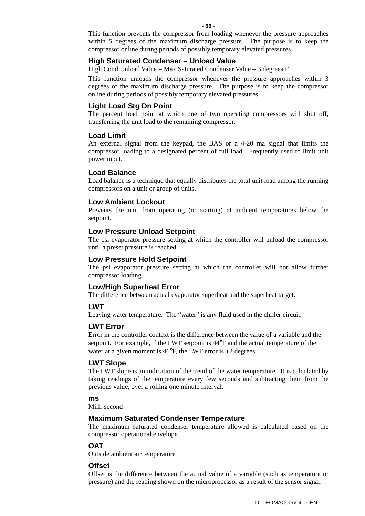This function prevents the compressor from loading whenever the pressure approaches within 5 degrees of the maximum discharge pressure. The purpose is to keep the compressor online during periods of possibly temporary elevated pressures.

#### **High Saturated Condenser – Unload Value**

High Cond Unload Value = Max Saturated Condenser Value  $-3$  degrees F

This function unloads the compressor whenever the pressure approaches within 3 degrees of the maximum discharge pressure. The purpose is to keep the compressor online during periods of possibly temporary elevated pressures.

#### **Light Load Stg Dn Point**

The percent load point at which one of two operating compressors will shut off, transferring the unit load to the remaining compressor.

#### **Load Limit**

An external signal from the keypad, the BAS or a 4-20 ma signal that limits the compressor loading to a designated percent of full load. Frequently used to limit unit power input.

#### **Load Balance**

Load balance is a technique that equally distributes the total unit load among the running compressors on a unit or group of units.

#### **Low Ambient Lockout**

Prevents the unit from operating (or starting) at ambient temperatures below the setpoint.

#### **Low Pressure Unload Setpoint**

The psi evaporator pressure setting at which the controller will unload the compressor until a preset pressure is reached.

#### **Low Pressure Hold Setpoint**

The psi evaporator pressure setting at which the controller will not allow further compressor loading.

## **Low/High Superheat Error**

The difference between actual evaporator superheat and the superheat target.

## **LWT**

Leaving water temperature. The "water" is any fluid used in the chiller circuit.

## **LWT Error**

Error in the controller context is the difference between the value of a variable and the setpoint. For example, if the LWT setpoint is 44°F and the actual temperature of the water at a given moment is  $46^{\circ}$ F, the LWT error is  $+2$  degrees.

#### **LWT Slope**

The LWT slope is an indication of the trend of the water temperature. It is calculated by taking readings of the temperature every few seconds and subtracting them from the previous value, over a rolling one minute interval.

## **ms**

Milli-second

#### **Maximum Saturated Condenser Temperature**

The maximum saturated condenser temperature allowed is calculated based on the compressor operational envelope.

## **OAT**

Outside ambient air temperature

#### **Offset**

Offset is the difference between the actual value of a variable (such as temperature or pressure) and the reading shown on the microprocessor as a result of the sensor signal.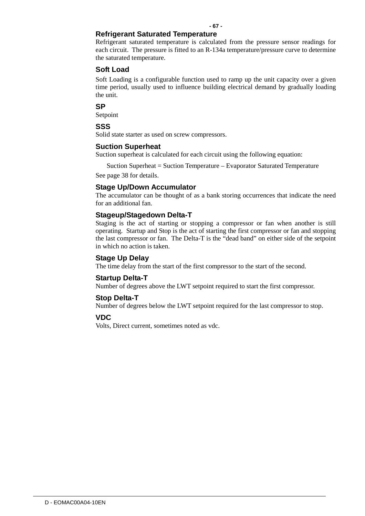## **Refrigerant Saturated Temperature**

Refrigerant saturated temperature is calculated from the pressure sensor readings for each circuit. The pressure is fitted to an R-134a temperature/pressure curve to determine the saturated temperature.

## **Soft Load**

Soft Loading is a configurable function used to ramp up the unit capacity over a given time period, usually used to influence building electrical demand by gradually loading the unit.

**SP** 

Setpoint

**SSS** 

Solid state starter as used on screw compressors.

#### **Suction Superheat**

Suction superheat is calculated for each circuit using the following equation:

Suction Superheat = Suction Temperature – Evaporator Saturated Temperature

See page 38 for details.

## **Stage Up/Down Accumulator**

The accumulator can be thought of as a bank storing occurrences that indicate the need for an additional fan.

## **Stageup/Stagedown Delta-T**

Staging is the act of starting or stopping a compressor or fan when another is still operating. Startup and Stop is the act of starting the first compressor or fan and stopping the last compressor or fan. The Delta-T is the "dead band" on either side of the setpoint in which no action is taken.

### **Stage Up Delay**

The time delay from the start of the first compressor to the start of the second.

#### **Startup Delta-T**

Number of degrees above the LWT setpoint required to start the first compressor.

#### **Stop Delta-T**

Number of degrees below the LWT setpoint required for the last compressor to stop.

## **VDC**

Volts, Direct current, sometimes noted as vdc.